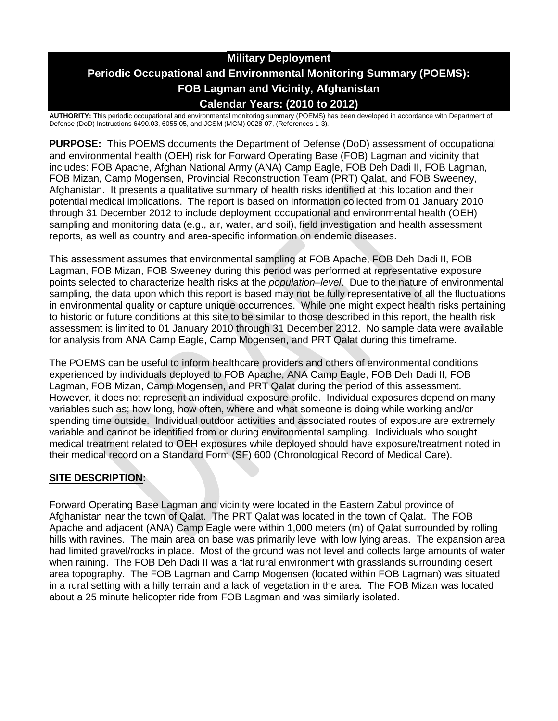# **Military Deployment Periodic Occupational and Environmental Monitoring Summary (POEMS): FOB Lagman and Vicinity, Afghanistan Calendar Years: (2010 to 2012)**

**AUTHORITY:** This periodic occupational and environmental monitoring summary (POEMS) has been developed in accordance with Department of Defense (DoD) Instructions 6490.03, 6055.05, and JCSM (MCM) 0028-07, (References 1-3)*.*

**PURPOSE:** This POEMS documents the Department of Defense (DoD) assessment of occupational and environmental health (OEH) risk for Forward Operating Base (FOB) Lagman and vicinity that includes: FOB Apache, Afghan National Army (ANA) Camp Eagle, FOB Deh Dadi II, FOB Lagman, FOB Mizan, Camp Mogensen, Provincial Reconstruction Team (PRT) Qalat, and FOB Sweeney, Afghanistan. It presents a qualitative summary of health risks identified at this location and their potential medical implications. The report is based on information collected from 01 January 2010 through 31 December 2012 to include deployment occupational and environmental health (OEH) sampling and monitoring data (e.g., air, water, and soil), field investigation and health assessment reports, as well as country and area-specific information on endemic diseases.

This assessment assumes that environmental sampling at FOB Apache, FOB Deh Dadi II, FOB Lagman, FOB Mizan, FOB Sweeney during this period was performed at representative exposure points selected to characterize health risks at the *population–level*. Due to the nature of environmental sampling, the data upon which this report is based may not be fully representative of all the fluctuations in environmental quality or capture unique occurrences. While one might expect health risks pertaining to historic or future conditions at this site to be similar to those described in this report, the health risk assessment is limited to 01 January 2010 through 31 December 2012. No sample data were available for analysis from ANA Camp Eagle, Camp Mogensen, and PRT Qalat during this timeframe.

The POEMS can be useful to inform healthcare providers and others of environmental conditions experienced by individuals deployed to FOB Apache, ANA Camp Eagle, FOB Deh Dadi II, FOB Lagman, FOB Mizan, Camp Mogensen, and PRT Qalat during the period of this assessment. However, it does not represent an individual exposure profile. Individual exposures depend on many variables such as; how long, how often, where and what someone is doing while working and/or spending time outside. Individual outdoor activities and associated routes of exposure are extremely variable and cannot be identified from or during environmental sampling. Individuals who sought medical treatment related to OEH exposures while deployed should have exposure/treatment noted in their medical record on a Standard Form (SF) 600 (Chronological Record of Medical Care).

## **SITE DESCRIPTION:**

Forward Operating Base Lagman and vicinity were located in the Eastern Zabul province of Afghanistan near the town of Qalat. The PRT Qalat was located in the town of Qalat. The FOB Apache and adjacent (ANA) Camp Eagle were within 1,000 meters (m) of Qalat surrounded by rolling hills with ravines. The main area on base was primarily level with low lying areas. The expansion area had limited gravel/rocks in place. Most of the ground was not level and collects large amounts of water when raining. The FOB Deh Dadi II was a flat rural environment with grasslands surrounding desert area topography. The FOB Lagman and Camp Mogensen (located within FOB Lagman) was situated in a rural setting with a hilly terrain and a lack of vegetation in the area. The FOB Mizan was located about a 25 minute helicopter ride from FOB Lagman and was similarly isolated.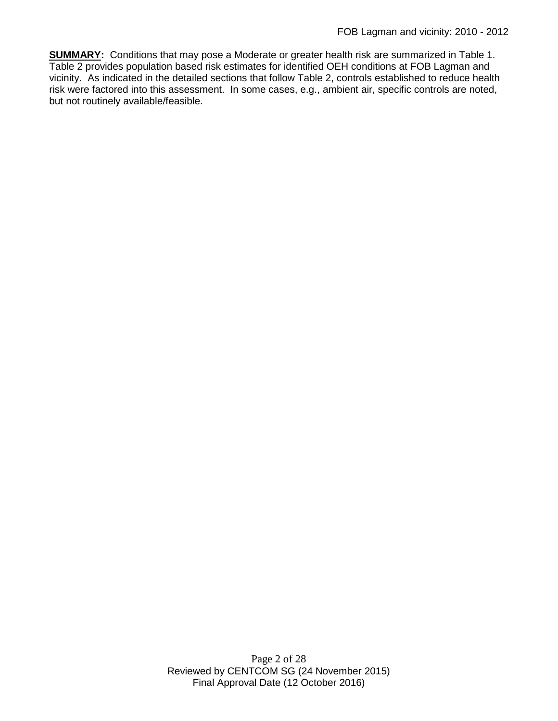**SUMMARY:** Conditions that may pose a Moderate or greater health risk are summarized in Table 1. Table 2 provides population based risk estimates for identified OEH conditions at FOB Lagman and vicinity. As indicated in the detailed sections that follow Table 2, controls established to reduce health risk were factored into this assessment. In some cases, e.g., ambient air, specific controls are noted, but not routinely available/feasible.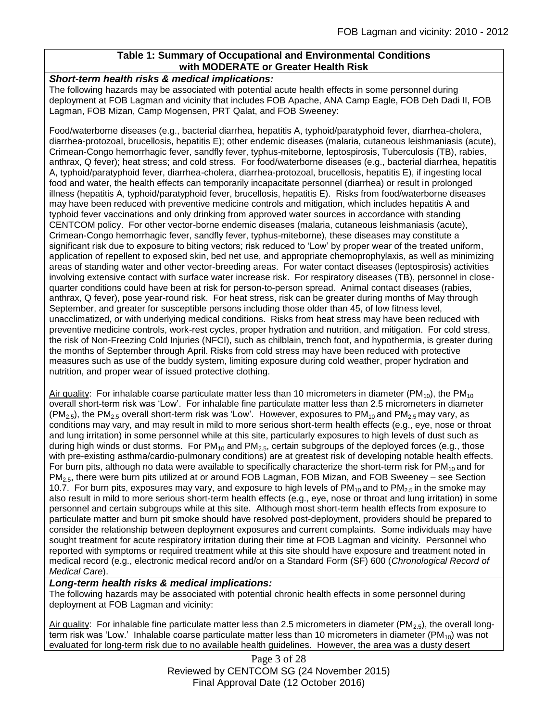### **Table 1: Summary of Occupational and Environmental Conditions with MODERATE or Greater Health Risk**

### *Short-term health risks & medical implications:*

The following hazards may be associated with potential acute health effects in some personnel during deployment at FOB Lagman and vicinity that includes FOB Apache, ANA Camp Eagle, FOB Deh Dadi II, FOB Lagman, FOB Mizan, Camp Mogensen, PRT Qalat, and FOB Sweeney:

Food/waterborne diseases (e.g., bacterial diarrhea, hepatitis A, typhoid/paratyphoid fever, diarrhea-cholera, diarrhea-protozoal, brucellosis, hepatitis E); other endemic diseases (malaria, cutaneous leishmaniasis (acute), Crimean-Congo hemorrhagic fever, sandfly fever, typhus-miteborne, leptospirosis, Tuberculosis (TB), rabies, anthrax, Q fever); heat stress; and cold stress. For food/waterborne diseases (e.g., bacterial diarrhea, hepatitis A, typhoid/paratyphoid fever, diarrhea-cholera, diarrhea-protozoal, brucellosis, hepatitis E), if ingesting local food and water, the health effects can temporarily incapacitate personnel (diarrhea) or result in prolonged illness (hepatitis A, typhoid/paratyphoid fever, brucellosis, hepatitis E). Risks from food/waterborne diseases may have been reduced with preventive medicine controls and mitigation, which includes hepatitis A and typhoid fever vaccinations and only drinking from approved water sources in accordance with standing CENTCOM policy. For other vector-borne endemic diseases (malaria, cutaneous leishmaniasis (acute), Crimean-Congo hemorrhagic fever, sandfly fever, typhus-miteborne), these diseases may constitute a significant risk due to exposure to biting vectors; risk reduced to 'Low' by proper wear of the treated uniform, application of repellent to exposed skin, bed net use, and appropriate chemoprophylaxis, as well as minimizing areas of standing water and other vector-breeding areas. For water contact diseases (leptospirosis) activities involving extensive contact with surface water increase risk. For respiratory diseases (TB), personnel in closequarter conditions could have been at risk for person-to-person spread. Animal contact diseases (rabies, anthrax, Q fever), pose year-round risk. For heat stress, risk can be greater during months of May through September, and greater for susceptible persons including those older than 45, of low fitness level, unacclimatized, or with underlying medical conditions. Risks from heat stress may have been reduced with preventive medicine controls, work-rest cycles, proper hydration and nutrition, and mitigation. For cold stress, the risk of Non-Freezing Cold Injuries (NFCI), such as chilblain, trench foot, and hypothermia, is greater during the months of September through April. Risks from cold stress may have been reduced with protective measures such as use of the buddy system, limiting exposure during cold weather, proper hydration and nutrition, and proper wear of issued protective clothing.

Air quality: For inhalable coarse particulate matter less than 10 micrometers in diameter ( $PM_{10}$ ), the PM<sub>10</sub> overall short-term risk was 'Low'. For inhalable fine particulate matter less than 2.5 micrometers in diameter  $(PM_{2.5})$ , the PM<sub>2.5</sub> overall short-term risk was 'Low'. However, exposures to PM<sub>10</sub> and PM<sub>2.5</sub> may vary, as conditions may vary, and may result in mild to more serious short-term health effects (e.g., eye, nose or throat and lung irritation) in some personnel while at this site, particularly exposures to high levels of dust such as during high winds or dust storms. For  $PM_{10}$  and  $PM_{2.5}$ , certain subgroups of the deployed forces (e.g., those with pre-existing asthma/cardio-pulmonary conditions) are at greatest risk of developing notable health effects. For burn pits, although no data were available to specifically characterize the short-term risk for  $PM_{10}$  and for PM2.5, there were burn pits utilized at or around FOB Lagman, FOB Mizan, and FOB Sweeney – see Section 10.7. For burn pits, exposures may vary, and exposure to high levels of PM<sub>10</sub> and to PM<sub>2.5</sub> in the smoke may also result in mild to more serious short-term health effects (e.g., eye, nose or throat and lung irritation) in some personnel and certain subgroups while at this site. Although most short-term health effects from exposure to particulate matter and burn pit smoke should have resolved post-deployment, providers should be prepared to consider the relationship between deployment exposures and current complaints. Some individuals may have sought treatment for acute respiratory irritation during their time at FOB Lagman and vicinity. Personnel who reported with symptoms or required treatment while at this site should have exposure and treatment noted in medical record (e.g., electronic medical record and/or on a Standard Form (SF) 600 (*Chronological Record of Medical Care*).

### *Long-term health risks & medical implications:*

The following hazards may be associated with potential chronic health effects in some personnel during deployment at FOB Lagman and vicinity:

Air quality: For inhalable fine particulate matter less than 2.5 micrometers in diameter (PM<sub>2.5</sub>), the overall longterm risk was 'Low.' Inhalable coarse particulate matter less than 10 micrometers in diameter (PM $_{10}$ ) was not evaluated for long-term risk due to no available health guidelines. However, the area was a dusty desert

> Page 3 of 28 Reviewed by CENTCOM SG (24 November 2015) Final Approval Date (12 October 2016)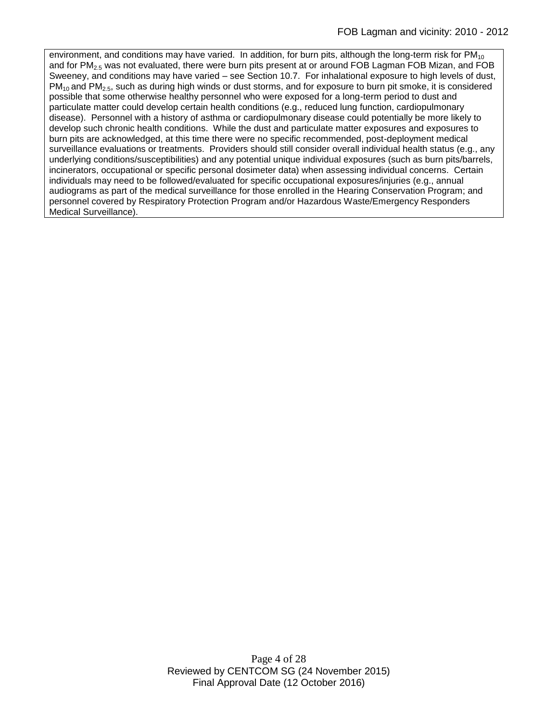environment, and conditions may have varied. In addition, for burn pits, although the long-term risk for  $PM_{10}$ and for PM<sub>2.5</sub> was not evaluated, there were burn pits present at or around FOB Lagman FOB Mizan, and FOB Sweeney, and conditions may have varied – see Section 10.7. For inhalational exposure to high levels of dust, PM10 and PM2.5, such as during high winds or dust storms, and for exposure to burn pit smoke, it is considered possible that some otherwise healthy personnel who were exposed for a long-term period to dust and particulate matter could develop certain health conditions (e.g., reduced lung function, cardiopulmonary disease). Personnel with a history of asthma or cardiopulmonary disease could potentially be more likely to develop such chronic health conditions. While the dust and particulate matter exposures and exposures to burn pits are acknowledged, at this time there were no specific recommended, post-deployment medical surveillance evaluations or treatments. Providers should still consider overall individual health status (e.g., any underlying conditions/susceptibilities) and any potential unique individual exposures (such as burn pits/barrels, incinerators, occupational or specific personal dosimeter data) when assessing individual concerns. Certain individuals may need to be followed/evaluated for specific occupational exposures/injuries (e.g., annual audiograms as part of the medical surveillance for those enrolled in the Hearing Conservation Program; and personnel covered by Respiratory Protection Program and/or Hazardous Waste/Emergency Responders Medical Surveillance).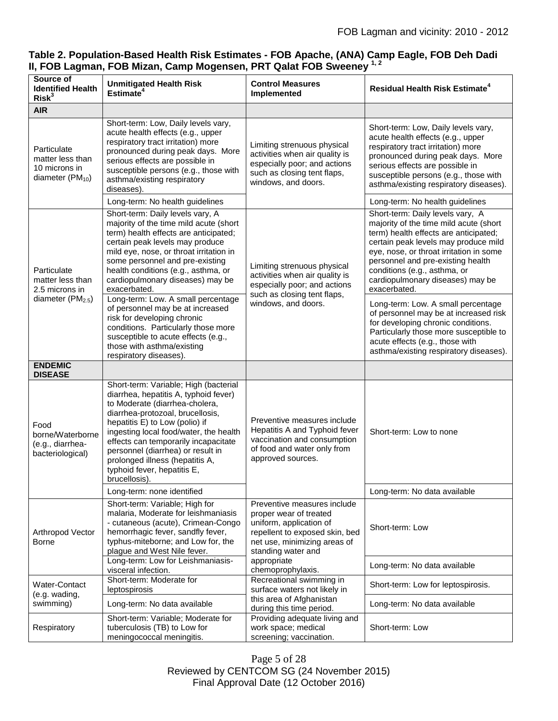|                                                                                 | Table 2. Population-Based Health Risk Estimates - FOB Apache, (ANA) Camp Eagle, FOB Deh Dadi |
|---------------------------------------------------------------------------------|----------------------------------------------------------------------------------------------|
| II, FOB Lagman, FOB Mizan, Camp Mogensen, PRT Qalat FOB Sweeney <sup>1, 2</sup> |                                                                                              |

| Source of<br><b>Identified Health</b><br>Risk <sup>3</sup>               | <b>Unmitigated Health Risk</b><br>Estimate <sup>4</sup>                                                                                                                                                                                                                                                                                                                                          | <b>Control Measures</b><br>Implemented                                                                                                                                   | <b>Residual Health Risk Estimate<sup>4</sup></b>                                                                                                                                                                                                                                                                                |
|--------------------------------------------------------------------------|--------------------------------------------------------------------------------------------------------------------------------------------------------------------------------------------------------------------------------------------------------------------------------------------------------------------------------------------------------------------------------------------------|--------------------------------------------------------------------------------------------------------------------------------------------------------------------------|---------------------------------------------------------------------------------------------------------------------------------------------------------------------------------------------------------------------------------------------------------------------------------------------------------------------------------|
| <b>AIR</b>                                                               |                                                                                                                                                                                                                                                                                                                                                                                                  |                                                                                                                                                                          |                                                                                                                                                                                                                                                                                                                                 |
| Particulate<br>matter less than<br>10 microns in<br>diameter $(PM_{10})$ | Short-term: Low, Daily levels vary,<br>acute health effects (e.g., upper<br>respiratory tract irritation) more<br>pronounced during peak days. More<br>serious effects are possible in<br>susceptible persons (e.g., those with<br>asthma/existing respiratory<br>diseases).                                                                                                                     | Limiting strenuous physical<br>activities when air quality is<br>especially poor; and actions<br>such as closing tent flaps,<br>windows, and doors.                      | Short-term: Low, Daily levels vary,<br>acute health effects (e.g., upper<br>respiratory tract irritation) more<br>pronounced during peak days. More<br>serious effects are possible in<br>susceptible persons (e.g., those with<br>asthma/existing respiratory diseases).                                                       |
|                                                                          | Long-term: No health guidelines                                                                                                                                                                                                                                                                                                                                                                  |                                                                                                                                                                          | Long-term: No health guidelines                                                                                                                                                                                                                                                                                                 |
| Particulate<br>matter less than<br>2.5 microns in<br>diameter $(PM2.5)$  | Short-term: Daily levels vary, A<br>majority of the time mild acute (short<br>term) health effects are anticipated;<br>certain peak levels may produce<br>mild eye, nose, or throat irritation in<br>some personnel and pre-existing<br>health conditions (e.g., asthma, or<br>cardiopulmonary diseases) may be<br>exacerbated.                                                                  | Limiting strenuous physical<br>activities when air quality is<br>especially poor; and actions<br>such as closing tent flaps,<br>windows, and doors.                      | Short-term: Daily levels vary, A<br>majority of the time mild acute (short<br>term) health effects are anticipated;<br>certain peak levels may produce mild<br>eye, nose, or throat irritation in some<br>personnel and pre-existing health<br>conditions (e.g., asthma, or<br>cardiopulmonary diseases) may be<br>exacerbated. |
|                                                                          | Long-term: Low. A small percentage<br>of personnel may be at increased<br>risk for developing chronic<br>conditions. Particularly those more<br>susceptible to acute effects (e.g.,<br>those with asthma/existing<br>respiratory diseases).                                                                                                                                                      |                                                                                                                                                                          | Long-term: Low. A small percentage<br>of personnel may be at increased risk<br>for developing chronic conditions.<br>Particularly those more susceptible to<br>acute effects (e.g., those with<br>asthma/existing respiratory diseases).                                                                                        |
| <b>ENDEMIC</b><br><b>DISEASE</b>                                         |                                                                                                                                                                                                                                                                                                                                                                                                  |                                                                                                                                                                          |                                                                                                                                                                                                                                                                                                                                 |
| Food<br>borne/Waterborne<br>(e.g., diarrhea-<br>bacteriological)         | Short-term: Variable; High (bacterial<br>diarrhea, hepatitis A, typhoid fever)<br>to Moderate (diarrhea-cholera,<br>diarrhea-protozoal, brucellosis,<br>hepatitis E) to Low (polio) if<br>ingesting local food/water, the health<br>effects can temporarily incapacitate<br>personnel (diarrhea) or result in<br>prolonged illness (hepatitis A,<br>typhoid fever, hepatitis E,<br>brucellosis). | Preventive measures include<br>Hepatitis A and Typhoid fever<br>vaccination and consumption<br>of food and water only from<br>approved sources.                          | Short-term: Low to none                                                                                                                                                                                                                                                                                                         |
|                                                                          | Long-term: none identified                                                                                                                                                                                                                                                                                                                                                                       |                                                                                                                                                                          | Long-term: No data available                                                                                                                                                                                                                                                                                                    |
| Arthropod Vector<br>Borne                                                | Short-term: Variable; High for<br>malaria, Moderate for leishmaniasis<br>- cutaneous (acute), Crimean-Congo<br>hemorrhagic fever, sandfly fever,<br>typhus-miteborne; and Low for, the<br>plague and West Nile fever.                                                                                                                                                                            | Preventive measures include<br>proper wear of treated<br>uniform, application of<br>repellent to exposed skin, bed<br>net use, minimizing areas of<br>standing water and | Short-term: Low                                                                                                                                                                                                                                                                                                                 |
|                                                                          | Long-term: Low for Leishmaniasis-<br>visceral infection.                                                                                                                                                                                                                                                                                                                                         | appropriate<br>chemoprophylaxis.                                                                                                                                         | Long-term: No data available                                                                                                                                                                                                                                                                                                    |
| <b>Water-Contact</b><br>(e.g. wading,<br>swimming)                       | Short-term: Moderate for<br>leptospirosis                                                                                                                                                                                                                                                                                                                                                        | Recreational swimming in<br>surface waters not likely in                                                                                                                 | Short-term: Low for leptospirosis.                                                                                                                                                                                                                                                                                              |
|                                                                          | Long-term: No data available                                                                                                                                                                                                                                                                                                                                                                     | this area of Afghanistan<br>during this time period.                                                                                                                     | Long-term: No data available                                                                                                                                                                                                                                                                                                    |
| Respiratory                                                              | Short-term: Variable; Moderate for<br>tuberculosis (TB) to Low for<br>meningococcal meningitis.                                                                                                                                                                                                                                                                                                  | Providing adequate living and<br>work space; medical<br>screening; vaccination.                                                                                          | Short-term: Low                                                                                                                                                                                                                                                                                                                 |

Page 5 of 28 Reviewed by CENTCOM SG (24 November 2015) Final Approval Date (12 October 2016)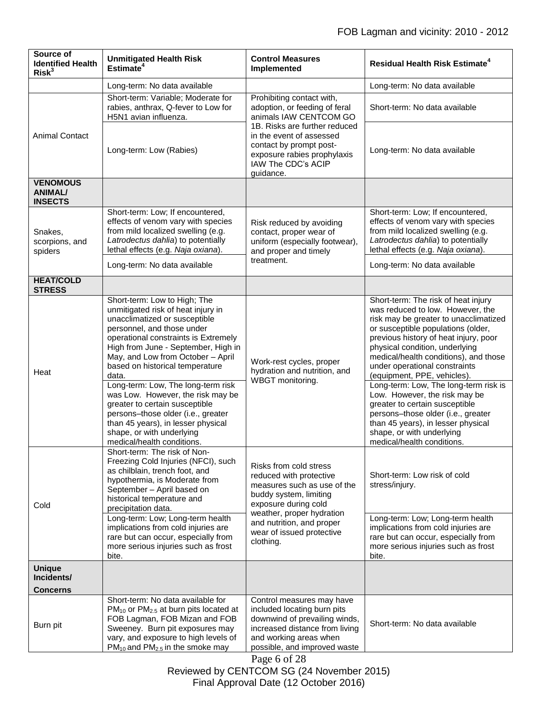| Source of<br><b>Identified Health</b><br>Risk <sup>3</sup> | <b>Unmitigated Health Risk</b><br>Estimate <sup>4</sup>                                                                                                                                                                                                                                                                                                                                                                                                                                                                                                                               | <b>Control Measures</b><br>Implemented                                                                                                                                                                                                         | <b>Residual Health Risk Estimate<sup>4</sup></b>                                                                                                                                                                                                                                                                                                                                                                                                                                                                                                                                              |
|------------------------------------------------------------|---------------------------------------------------------------------------------------------------------------------------------------------------------------------------------------------------------------------------------------------------------------------------------------------------------------------------------------------------------------------------------------------------------------------------------------------------------------------------------------------------------------------------------------------------------------------------------------|------------------------------------------------------------------------------------------------------------------------------------------------------------------------------------------------------------------------------------------------|-----------------------------------------------------------------------------------------------------------------------------------------------------------------------------------------------------------------------------------------------------------------------------------------------------------------------------------------------------------------------------------------------------------------------------------------------------------------------------------------------------------------------------------------------------------------------------------------------|
|                                                            | Long-term: No data available                                                                                                                                                                                                                                                                                                                                                                                                                                                                                                                                                          |                                                                                                                                                                                                                                                | Long-term: No data available                                                                                                                                                                                                                                                                                                                                                                                                                                                                                                                                                                  |
| <b>Animal Contact</b>                                      | Short-term: Variable; Moderate for<br>rabies, anthrax, Q-fever to Low for<br>H5N1 avian influenza.                                                                                                                                                                                                                                                                                                                                                                                                                                                                                    | Prohibiting contact with,<br>adoption, or feeding of feral<br>animals IAW CENTCOM GO<br>1B. Risks are further reduced<br>in the event of assessed<br>contact by prompt post-<br>exposure rabies prophylaxis<br>IAW The CDC's ACIP<br>quidance. | Short-term: No data available                                                                                                                                                                                                                                                                                                                                                                                                                                                                                                                                                                 |
|                                                            | Long-term: Low (Rabies)                                                                                                                                                                                                                                                                                                                                                                                                                                                                                                                                                               |                                                                                                                                                                                                                                                | Long-term: No data available                                                                                                                                                                                                                                                                                                                                                                                                                                                                                                                                                                  |
| <b>VENOMOUS</b><br><b>ANIMAL/</b><br><b>INSECTS</b>        |                                                                                                                                                                                                                                                                                                                                                                                                                                                                                                                                                                                       |                                                                                                                                                                                                                                                |                                                                                                                                                                                                                                                                                                                                                                                                                                                                                                                                                                                               |
| Snakes,<br>scorpions, and<br>spiders                       | Short-term: Low; If encountered,<br>effects of venom vary with species<br>from mild localized swelling (e.g.<br>Latrodectus dahlia) to potentially<br>lethal effects (e.g. Naja oxiana).<br>Long-term: No data available                                                                                                                                                                                                                                                                                                                                                              | Risk reduced by avoiding<br>contact, proper wear of<br>uniform (especially footwear),<br>and proper and timely<br>treatment.                                                                                                                   | Short-term: Low; If encountered,<br>effects of venom vary with species<br>from mild localized swelling (e.g.<br>Latrodectus dahlia) to potentially<br>lethal effects (e.g. Naja oxiana).<br>Long-term: No data available                                                                                                                                                                                                                                                                                                                                                                      |
| <b>HEAT/COLD</b><br><b>STRESS</b>                          |                                                                                                                                                                                                                                                                                                                                                                                                                                                                                                                                                                                       |                                                                                                                                                                                                                                                |                                                                                                                                                                                                                                                                                                                                                                                                                                                                                                                                                                                               |
| Heat                                                       | Short-term: Low to High; The<br>unmitigated risk of heat injury in<br>unacclimatized or susceptible<br>personnel, and those under<br>operational constraints is Extremely<br>High from June - September, High in<br>May, and Low from October - April<br>based on historical temperature<br>data.<br>Long-term: Low, The long-term risk<br>was Low. However, the risk may be<br>greater to certain susceptible<br>persons-those older (i.e., greater<br>than 45 years), in lesser physical<br>shape, or with underlying<br>medical/health conditions.<br>Short-term: The risk of Non- | Work-rest cycles, proper<br>hydration and nutrition, and<br>WBGT monitoring.                                                                                                                                                                   | Short-term: The risk of heat injury<br>was reduced to low. However, the<br>risk may be greater to unacclimatized<br>or susceptible populations (older,<br>previous history of heat injury, poor<br>physical condition, underlying<br>medical/health conditions), and those<br>under operational constraints<br>(equipment, PPE, vehicles).<br>Long-term: Low, The long-term risk is<br>Low. However, the risk may be<br>greater to certain susceptible<br>persons-those older (i.e., greater<br>than 45 years), in lesser physical<br>shape, or with underlying<br>medical/health conditions. |
| Cold                                                       | Freezing Cold Injuries (NFCI), such<br>as chilblain, trench foot, and<br>hypothermia, is Moderate from<br>September - April based on<br>historical temperature and<br>precipitation data.<br>Long-term: Low; Long-term health<br>implications from cold injuries are<br>rare but can occur, especially from<br>more serious injuries such as frost<br>bite.                                                                                                                                                                                                                           | Risks from cold stress<br>reduced with protective<br>measures such as use of the<br>buddy system, limiting<br>exposure during cold<br>weather, proper hydration<br>and nutrition, and proper<br>wear of issued protective<br>clothing.         | Short-term: Low risk of cold<br>stress/injury.<br>Long-term: Low; Long-term health<br>implications from cold injuries are<br>rare but can occur, especially from<br>more serious injuries such as frost<br>bite.                                                                                                                                                                                                                                                                                                                                                                              |
| <b>Unique</b><br>Incidents/<br><b>Concerns</b>             |                                                                                                                                                                                                                                                                                                                                                                                                                                                                                                                                                                                       |                                                                                                                                                                                                                                                |                                                                                                                                                                                                                                                                                                                                                                                                                                                                                                                                                                                               |
| Burn pit                                                   | Short-term: No data available for<br>$PM_{10}$ or $PM_{2.5}$ at burn pits located at<br>FOB Lagman, FOB Mizan and FOB<br>Sweeney. Burn pit exposures may<br>vary, and exposure to high levels of<br>PM <sub>10</sub> and PM <sub>2.5</sub> in the smoke may                                                                                                                                                                                                                                                                                                                           | Control measures may have<br>included locating burn pits<br>downwind of prevailing winds,<br>increased distance from living<br>and working areas when<br>possible, and improved waste<br>Page 6 of 28                                          | Short-term: No data available                                                                                                                                                                                                                                                                                                                                                                                                                                                                                                                                                                 |

Reviewed by CENTCOM SG (24 November 2015) Final Approval Date (12 October 2016)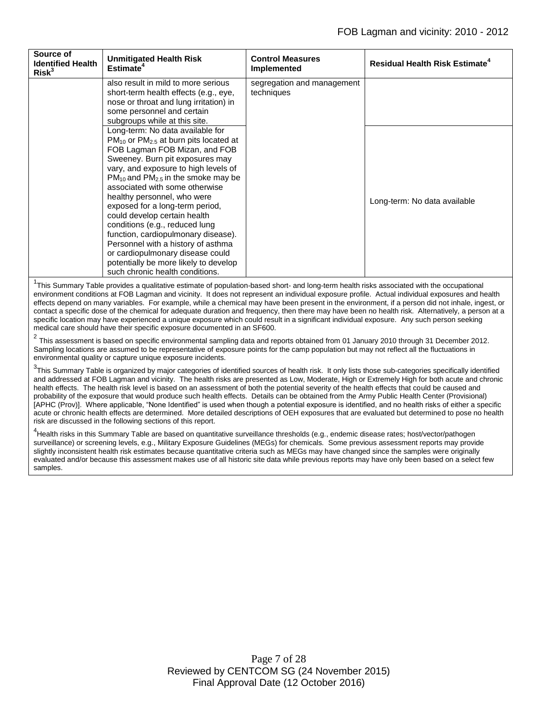| Source of<br><b>Identified Health</b><br>Risk <sup>3</sup> | <b>Unmitigated Health Risk</b><br>Estimate <sup>4</sup>                                                                                                                                                                                                                                                                                                                                                                                                                                                                                                                                                                                 | <b>Control Measures</b><br>Implemented   | <b>Residual Health Risk Estimate<sup>4</sup></b> |
|------------------------------------------------------------|-----------------------------------------------------------------------------------------------------------------------------------------------------------------------------------------------------------------------------------------------------------------------------------------------------------------------------------------------------------------------------------------------------------------------------------------------------------------------------------------------------------------------------------------------------------------------------------------------------------------------------------------|------------------------------------------|--------------------------------------------------|
|                                                            | also result in mild to more serious<br>short-term health effects (e.g., eye,<br>nose or throat and lung irritation) in<br>some personnel and certain<br>subgroups while at this site.                                                                                                                                                                                                                                                                                                                                                                                                                                                   | segregation and management<br>techniques |                                                  |
|                                                            | Long-term: No data available for<br>PM <sub>10</sub> or PM <sub>2.5</sub> at burn pits located at<br>FOB Lagman FOB Mizan, and FOB<br>Sweeney. Burn pit exposures may<br>vary, and exposure to high levels of<br>$PM_{10}$ and PM <sub>2.5</sub> in the smoke may be<br>associated with some otherwise<br>healthy personnel, who were<br>exposed for a long-term period,<br>could develop certain health<br>conditions (e.g., reduced lung<br>function, cardiopulmonary disease).<br>Personnel with a history of asthma<br>or cardiopulmonary disease could<br>potentially be more likely to develop<br>such chronic health conditions. |                                          | Long-term: No data available                     |

<sup>1</sup>This Summary Table provides a qualitative estimate of population-based short- and long-term health risks associated with the occupational environment conditions at FOB Lagman and vicinity. It does not represent an individual exposure profile. Actual individual exposures and health effects depend on many variables. For example, while a chemical may have been present in the environment, if a person did not inhale, ingest, or contact a specific dose of the chemical for adequate duration and frequency, then there may have been no health risk. Alternatively, a person at a specific location may have experienced a unique exposure which could result in a significant individual exposure. Any such person seeking medical care should have their specific exposure documented in an SF600.

 $^2$  This assessment is based on specific environmental sampling data and reports obtained from 01 January 2010 through 31 December 2012. Sampling locations are assumed to be representative of exposure points for the camp population but may not reflect all the fluctuations in environmental quality or capture unique exposure incidents.

<sup>3</sup>This Summary Table is organized by major categories of identified sources of health risk. It only lists those sub-categories specifically identified and addressed at FOB Lagman and vicinity. The health risks are presented as Low, Moderate, High or Extremely High for both acute and chronic health effects. The health risk level is based on an assessment of both the potential severity of the health effects that could be caused and probability of the exposure that would produce such health effects. Details can be obtained from the Army Public Health Center (Provisional) [APHC (Prov)]. Where applicable, "None Identified" is used when though a potential exposure is identified, and no health risks of either a specific acute or chronic health effects are determined. More detailed descriptions of OEH exposures that are evaluated but determined to pose no health risk are discussed in the following sections of this report.

<sup>4</sup><br>Health risks in this Summary Table are based on quantitative surveillance thresholds (e.g., endemic disease rates; host/vector/pathogen surveillance) or screening levels, e.g., Military Exposure Guidelines (MEGs) for chemicals*.* Some previous assessment reports may provide slightly inconsistent health risk estimates because quantitative criteria such as MEGs may have changed since the samples were originally evaluated and/or because this assessment makes use of all historic site data while previous reports may have only been based on a select few samples.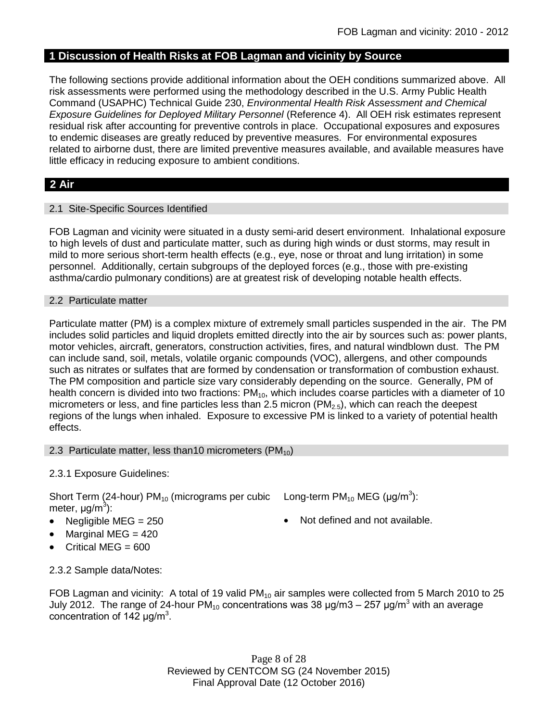## **1 Discussion of Health Risks at FOB Lagman and vicinity by Source**

The following sections provide additional information about the OEH conditions summarized above. All risk assessments were performed using the methodology described in the U.S. Army Public Health Command (USAPHC) Technical Guide 230, *Environmental Health Risk Assessment and Chemical Exposure Guidelines for Deployed Military Personnel* (Reference 4). All OEH risk estimates represent residual risk after accounting for preventive controls in place. Occupational exposures and exposures to endemic diseases are greatly reduced by preventive measures. For environmental exposures related to airborne dust, there are limited preventive measures available, and available measures have little efficacy in reducing exposure to ambient conditions.

## **2 Air**

### 2.1 Site-Specific Sources Identified

FOB Lagman and vicinity were situated in a dusty semi-arid desert environment. Inhalational exposure to high levels of dust and particulate matter, such as during high winds or dust storms, may result in mild to more serious short-term health effects (e.g., eye, nose or throat and lung irritation) in some personnel. Additionally, certain subgroups of the deployed forces (e.g., those with pre-existing asthma/cardio pulmonary conditions) are at greatest risk of developing notable health effects.

### 2.2 Particulate matter

Particulate matter (PM) is a complex mixture of extremely small particles suspended in the air. The PM includes solid particles and liquid droplets emitted directly into the air by sources such as: power plants, motor vehicles, aircraft, generators, construction activities, fires, and natural windblown dust. The PM can include sand, soil, metals, volatile organic compounds (VOC), allergens, and other compounds such as nitrates or sulfates that are formed by condensation or transformation of combustion exhaust. The PM composition and particle size vary considerably depending on the source. Generally, PM of health concern is divided into two fractions:  $PM_{10}$ , which includes coarse particles with a diameter of 10 micrometers or less, and fine particles less than 2.5 micron ( $PM<sub>2.5</sub>$ ), which can reach the deepest regions of the lungs when inhaled. Exposure to excessive PM is linked to a variety of potential health effects.

### 2.3 Particulate matter, less than10 micrometers  $(PM_{10})$

### 2.3.1 Exposure Guidelines:

Short Term (24-hour) PM<sub>10</sub> (micrograms per cubic Long-term PM<sub>10</sub> MEG (µg/m<sup>3</sup>): meter, μg/m<sup>3</sup>):

- Negligible  $MEG = 250$   $\bullet$  Not defined and not available.
- $\bullet$  Marginal MEG = 420
- Critical MEG = 600

2.3.2 Sample data/Notes:

FOB Lagman and vicinity: A total of 19 valid  $PM_{10}$  air samples were collected from 5 March 2010 to 25 July 2012. The range of 24-hour PM<sub>10</sub> concentrations was 38  $\mu$ g/m3 – 257  $\mu$ g/m<sup>3</sup> with an average concentration of 142  $\mu$ g/m<sup>3</sup>.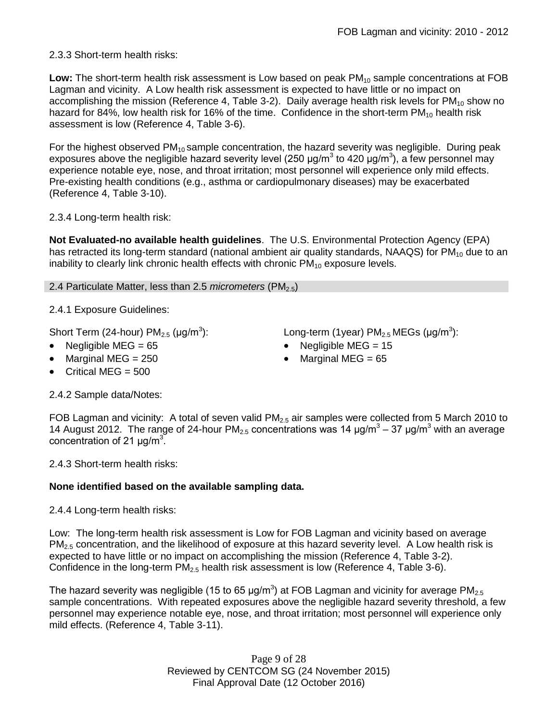2.3.3 Short-term health risks:

Low: The short-term health risk assessment is Low based on peak PM<sub>10</sub> sample concentrations at FOB Lagman and vicinity. A Low health risk assessment is expected to have little or no impact on accomplishing the mission (Reference 4, Table 3-2). Daily average health risk levels for  $PM_{10}$  show no hazard for 84%, low health risk for 16% of the time. Confidence in the short-term  $PM_{10}$  health risk assessment is low (Reference 4, Table 3-6).

For the highest observed  $PM_{10}$  sample concentration, the hazard severity was negligible. During peak exposures above the negligible hazard severity level (250  $\mu$ g/m<sup>3</sup> to 420  $\mu$ g/m<sup>3</sup>), a few personnel may experience notable eye, nose, and throat irritation; most personnel will experience only mild effects. Pre-existing health conditions (e.g., asthma or cardiopulmonary diseases) may be exacerbated (Reference 4, Table 3-10).

2.3.4 Long-term health risk:

**Not Evaluated-no available health guidelines**. The U.S. Environmental Protection Agency (EPA) has retracted its long-term standard (national ambient air quality standards, NAAQS) for  $PM_{10}$  due to an inability to clearly link chronic health effects with chronic  $PM_{10}$  exposure levels.

### 2.4 Particulate Matter, less than 2.5 *micrometers* (PM<sub>2.5</sub>)

2.4.1 Exposure Guidelines:

Short Term (24-hour)  $PM_{2.5}$  ( $\mu$ g/m<sup>3</sup>):

- 
- Marginal MEG =  $250$   $\bullet$  Marginal MEG =  $65$
- Critical MEG  $= 500$

):  $\hspace{1cm}$  Long-term (1year) PM $_{2.5}$  MEGs (µg/m $^3$ ):

- Negligible MEG = 65 Negligible MEG = 15
	-

2.4.2 Sample data/Notes:

FOB Lagman and vicinity: A total of seven valid  $PM<sub>2.5</sub>$  air samples were collected from 5 March 2010 to 14 August 2012. The range of 24-hour PM<sub>2.5</sub> concentrations was 14  $\mu$ g/m<sup>3</sup> – 37  $\mu$ g/m<sup>3</sup> with an average concentration of 21  $\mu$ g/m<sup>3</sup>.

2.4.3 Short-term health risks:

### **None identified based on the available sampling data.**

2.4.4 Long-term health risks:

Low: The long-term health risk assessment is Low for FOB Lagman and vicinity based on average  $PM<sub>2.5</sub>$  concentration, and the likelihood of exposure at this hazard severity level. A Low health risk is expected to have little or no impact on accomplishing the mission (Reference 4, Table 3-2). Confidence in the long-term PM<sub>2.5</sub> health risk assessment is low (Reference 4, Table 3-6).

The hazard severity was negligible (15 to 65 µg/m<sup>3</sup>) at FOB Lagman and vicinity for average PM<sub>2.5</sub> sample concentrations. With repeated exposures above the negligible hazard severity threshold, a few personnel may experience notable eye, nose, and throat irritation; most personnel will experience only mild effects. (Reference 4, Table 3-11).

> Page 9 of 28 Reviewed by CENTCOM SG (24 November 2015) Final Approval Date (12 October 2016)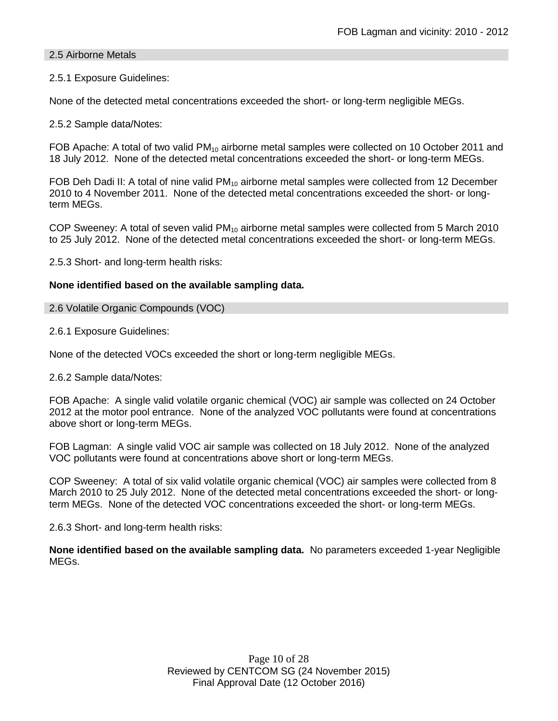### 2.5 Airborne Metals

### 2.5.1 Exposure Guidelines:

None of the detected metal concentrations exceeded the short- or long-term negligible MEGs.

2.5.2 Sample data/Notes:

FOB Apache: A total of two valid  $PM_{10}$  airborne metal samples were collected on 10 October 2011 and 18 July 2012. None of the detected metal concentrations exceeded the short- or long-term MEGs.

FOB Deh Dadi II: A total of nine valid  $PM_{10}$  airborne metal samples were collected from 12 December 2010 to 4 November 2011. None of the detected metal concentrations exceeded the short- or longterm MEGs.

COP Sweeney: A total of seven valid  $PM_{10}$  airborne metal samples were collected from 5 March 2010 to 25 July 2012. None of the detected metal concentrations exceeded the short- or long-term MEGs.

2.5.3 Short- and long-term health risks:

### **None identified based on the available sampling data.**

#### 2.6 Volatile Organic Compounds (VOC)

2.6.1 Exposure Guidelines:

None of the detected VOCs exceeded the short or long-term negligible MEGs.

2.6.2 Sample data/Notes:

FOB Apache: A single valid volatile organic chemical (VOC) air sample was collected on 24 October 2012 at the motor pool entrance. None of the analyzed VOC pollutants were found at concentrations above short or long-term MEGs.

FOB Lagman: A single valid VOC air sample was collected on 18 July 2012. None of the analyzed VOC pollutants were found at concentrations above short or long-term MEGs.

COP Sweeney: A total of six valid volatile organic chemical (VOC) air samples were collected from 8 March 2010 to 25 July 2012. None of the detected metal concentrations exceeded the short- or longterm MEGs. None of the detected VOC concentrations exceeded the short- or long-term MEGs.

2.6.3 Short- and long-term health risks:

**None identified based on the available sampling data.** No parameters exceeded 1-year Negligible MEGs.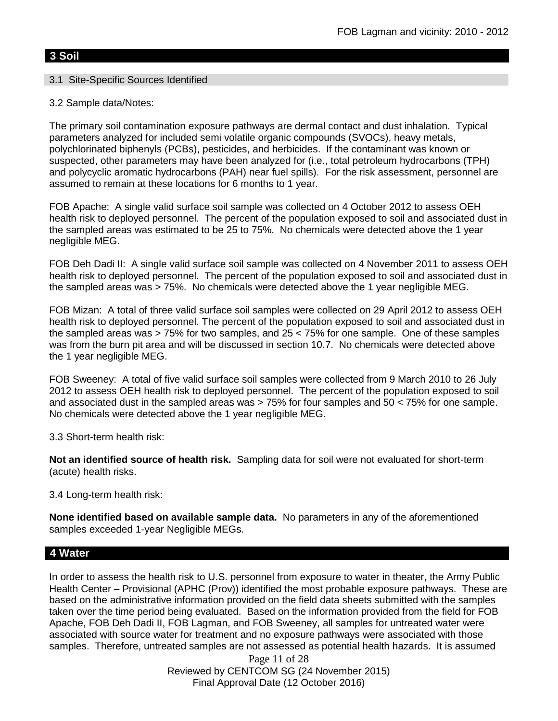## **3 Soil**

### 3.1 Site-Specific Sources Identified

### 3.2 Sample data/Notes:

The primary soil contamination exposure pathways are dermal contact and dust inhalation. Typical parameters analyzed for included semi volatile organic compounds (SVOCs), heavy metals, polychlorinated biphenyls (PCBs), pesticides, and herbicides. If the contaminant was known or suspected, other parameters may have been analyzed for (i.e., total petroleum hydrocarbons (TPH) and polycyclic aromatic hydrocarbons (PAH) near fuel spills). For the risk assessment, personnel are assumed to remain at these locations for 6 months to 1 year.

FOB Apache: A single valid surface soil sample was collected on 4 October 2012 to assess OEH health risk to deployed personnel. The percent of the population exposed to soil and associated dust in the sampled areas was estimated to be 25 to 75%. No chemicals were detected above the 1 year negligible MEG.

FOB Deh Dadi II: A single valid surface soil sample was collected on 4 November 2011 to assess OEH health risk to deployed personnel. The percent of the population exposed to soil and associated dust in the sampled areas was > 75%. No chemicals were detected above the 1 year negligible MEG.

FOB Mizan: A total of three valid surface soil samples were collected on 29 April 2012 to assess OEH health risk to deployed personnel. The percent of the population exposed to soil and associated dust in the sampled areas was  $> 75\%$  for two samples, and 25  $< 75\%$  for one sample. One of these samples was from the burn pit area and will be discussed in section 10.7. No chemicals were detected above the 1 year negligible MEG.

FOB Sweeney: A total of five valid surface soil samples were collected from 9 March 2010 to 26 July 2012 to assess OEH health risk to deployed personnel. The percent of the population exposed to soil and associated dust in the sampled areas was  $> 75\%$  for four samples and  $50 < 75\%$  for one sample. No chemicals were detected above the 1 year negligible MEG.

3.3 Short-term health risk:

**Not an identified source of health risk.** Sampling data for soil were not evaluated for short-term (acute) health risks.

3.4 Long-term health risk:

**None identified based on available sample data.** No parameters in any of the aforementioned samples exceeded 1-year Negligible MEGs.

### **4 Water**

In order to assess the health risk to U.S. personnel from exposure to water in theater, the Army Public Health Center – Provisional (APHC (Prov)) identified the most probable exposure pathways. These are based on the administrative information provided on the field data sheets submitted with the samples taken over the time period being evaluated. Based on the information provided from the field for FOB Apache, FOB Deh Dadi II, FOB Lagman, and FOB Sweeney, all samples for untreated water were associated with source water for treatment and no exposure pathways were associated with those samples. Therefore, untreated samples are not assessed as potential health hazards. It is assumed

Page 11 of 28 Reviewed by CENTCOM SG (24 November 2015) Final Approval Date (12 October 2016)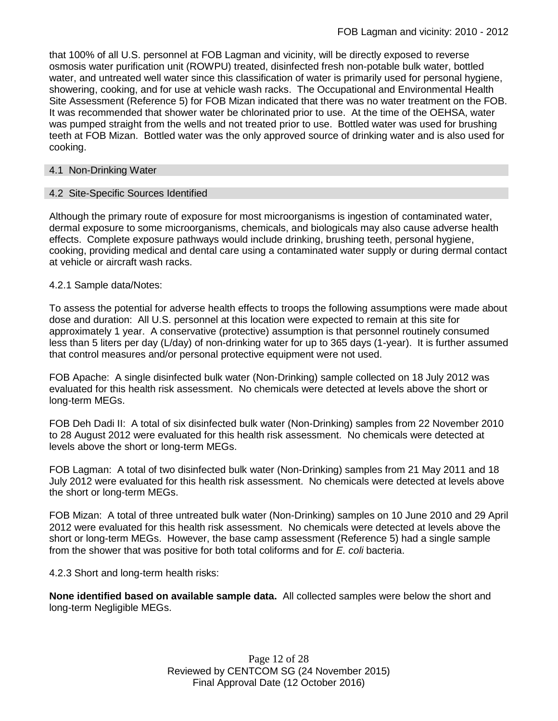that 100% of all U.S. personnel at FOB Lagman and vicinity, will be directly exposed to reverse osmosis water purification unit (ROWPU) treated, disinfected fresh non-potable bulk water, bottled water, and untreated well water since this classification of water is primarily used for personal hygiene, showering, cooking, and for use at vehicle wash racks. The Occupational and Environmental Health Site Assessment (Reference 5) for FOB Mizan indicated that there was no water treatment on the FOB. It was recommended that shower water be chlorinated prior to use. At the time of the OEHSA, water was pumped straight from the wells and not treated prior to use. Bottled water was used for brushing teeth at FOB Mizan. Bottled water was the only approved source of drinking water and is also used for cooking.

#### 4.1 Non-Drinking Water

### 4.2 Site-Specific Sources Identified

Although the primary route of exposure for most microorganisms is ingestion of contaminated water, dermal exposure to some microorganisms, chemicals, and biologicals may also cause adverse health effects. Complete exposure pathways would include drinking, brushing teeth, personal hygiene, cooking, providing medical and dental care using a contaminated water supply or during dermal contact at vehicle or aircraft wash racks.

### 4.2.1 Sample data/Notes:

To assess the potential for adverse health effects to troops the following assumptions were made about dose and duration: All U.S. personnel at this location were expected to remain at this site for approximately 1 year. A conservative (protective) assumption is that personnel routinely consumed less than 5 liters per day (L/day) of non-drinking water for up to 365 days (1-year). It is further assumed that control measures and/or personal protective equipment were not used.

FOB Apache: A single disinfected bulk water (Non-Drinking) sample collected on 18 July 2012 was evaluated for this health risk assessment. No chemicals were detected at levels above the short or long-term MEGs.

FOB Deh Dadi II: A total of six disinfected bulk water (Non-Drinking) samples from 22 November 2010 to 28 August 2012 were evaluated for this health risk assessment. No chemicals were detected at levels above the short or long-term MEGs.

FOB Lagman: A total of two disinfected bulk water (Non-Drinking) samples from 21 May 2011 and 18 July 2012 were evaluated for this health risk assessment. No chemicals were detected at levels above the short or long-term MEGs.

FOB Mizan: A total of three untreated bulk water (Non-Drinking) samples on 10 June 2010 and 29 April 2012 were evaluated for this health risk assessment. No chemicals were detected at levels above the short or long-term MEGs. However, the base camp assessment (Reference 5) had a single sample from the shower that was positive for both total coliforms and for *E. coli* bacteria.

4.2.3 Short and long-term health risks:

**None identified based on available sample data.** All collected samples were below the short and long-term Negligible MEGs.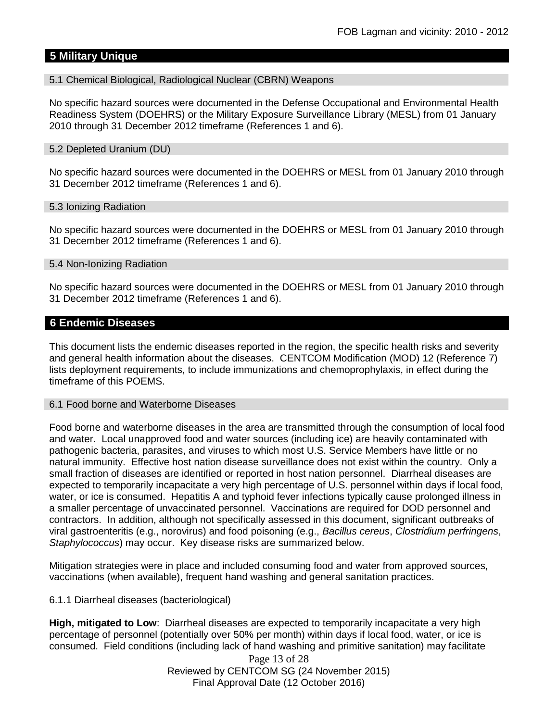## **5 Military Unique**

#### 5.1 Chemical Biological, Radiological Nuclear (CBRN) Weapons

No specific hazard sources were documented in the Defense Occupational and Environmental Health Readiness System (DOEHRS) or the Military Exposure Surveillance Library (MESL) from 01 January 2010 through 31 December 2012 timeframe (References 1 and 6).

#### 5.2 Depleted Uranium (DU)

No specific hazard sources were documented in the DOEHRS or MESL from 01 January 2010 through 31 December 2012 timeframe (References 1 and 6).

#### 5.3 Ionizing Radiation

No specific hazard sources were documented in the DOEHRS or MESL from 01 January 2010 through 31 December 2012 timeframe (References 1 and 6).

#### 5.4 Non-Ionizing Radiation

No specific hazard sources were documented in the DOEHRS or MESL from 01 January 2010 through 31 December 2012 timeframe (References 1 and 6).

#### **6 Endemic Diseases**

This document lists the endemic diseases reported in the region, the specific health risks and severity and general health information about the diseases. CENTCOM Modification (MOD) 12 (Reference 7) lists deployment requirements, to include immunizations and chemoprophylaxis, in effect during the timeframe of this POEMS.

#### 6.1 Food borne and Waterborne Diseases

Food borne and waterborne diseases in the area are transmitted through the consumption of local food and water. Local unapproved food and water sources (including ice) are heavily contaminated with pathogenic bacteria, parasites, and viruses to which most U.S. Service Members have little or no natural immunity. Effective host nation disease surveillance does not exist within the country. Only a small fraction of diseases are identified or reported in host nation personnel. Diarrheal diseases are expected to temporarily incapacitate a very high percentage of U.S. personnel within days if local food, water, or ice is consumed. Hepatitis A and typhoid fever infections typically cause prolonged illness in a smaller percentage of unvaccinated personnel. Vaccinations are required for DOD personnel and contractors. In addition, although not specifically assessed in this document, significant outbreaks of viral gastroenteritis (e.g., norovirus) and food poisoning (e.g., *Bacillus cereus*, *Clostridium perfringens*, *Staphylococcus*) may occur. Key disease risks are summarized below.

Mitigation strategies were in place and included consuming food and water from approved sources, vaccinations (when available), frequent hand washing and general sanitation practices.

#### 6.1.1 Diarrheal diseases (bacteriological)

**High, mitigated to Low**: Diarrheal diseases are expected to temporarily incapacitate a very high percentage of personnel (potentially over 50% per month) within days if local food, water, or ice is consumed. Field conditions (including lack of hand washing and primitive sanitation) may facilitate

> Page 13 of 28 Reviewed by CENTCOM SG (24 November 2015) Final Approval Date (12 October 2016)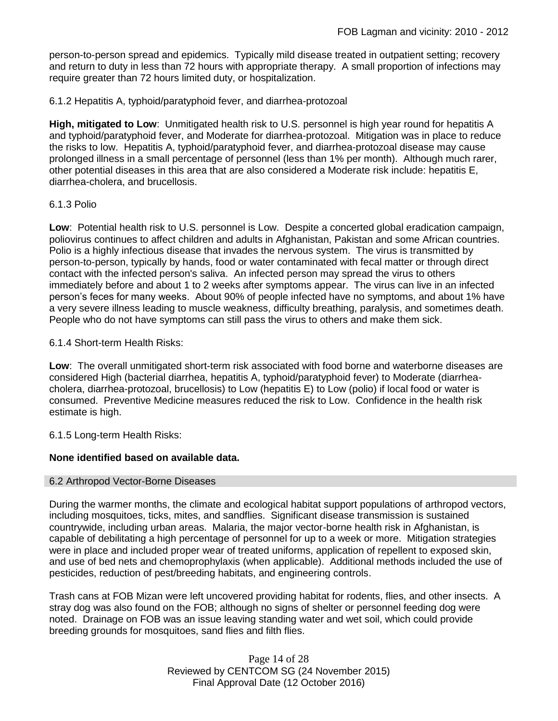person-to-person spread and epidemics. Typically mild disease treated in outpatient setting; recovery and return to duty in less than 72 hours with appropriate therapy. A small proportion of infections may require greater than 72 hours limited duty, or hospitalization.

6.1.2 Hepatitis A, typhoid/paratyphoid fever, and diarrhea-protozoal

**High, mitigated to Low**: Unmitigated health risk to U.S. personnel is high year round for hepatitis A and typhoid/paratyphoid fever, and Moderate for diarrhea-protozoal. Mitigation was in place to reduce the risks to low. Hepatitis A, typhoid/paratyphoid fever, and diarrhea-protozoal disease may cause prolonged illness in a small percentage of personnel (less than 1% per month). Although much rarer, other potential diseases in this area that are also considered a Moderate risk include: hepatitis E, diarrhea-cholera, and brucellosis.

#### 6.1.3 Polio

**Low**: Potential health risk to U.S. personnel is Low. Despite a concerted global eradication campaign, poliovirus continues to affect children and adults in Afghanistan, Pakistan and some African countries. Polio is a highly infectious disease that invades the nervous system. The virus is transmitted by person-to-person, typically by hands, food or water contaminated with fecal matter or through direct contact with the infected person's saliva. An infected person may spread the virus to others immediately before and about 1 to 2 weeks after symptoms appear. The virus can live in an infected person's feces for many weeks. About 90% of people infected have no symptoms, and about 1% have a very severe illness leading to muscle weakness, difficulty breathing, paralysis, and sometimes death. People who do not have symptoms can still pass the virus to others and make them sick.

#### 6.1.4 Short-term Health Risks:

**Low**: The overall unmitigated short-term risk associated with food borne and waterborne diseases are considered High (bacterial diarrhea, hepatitis A, typhoid/paratyphoid fever) to Moderate (diarrheacholera, diarrhea-protozoal, brucellosis) to Low (hepatitis E) to Low (polio) if local food or water is consumed. Preventive Medicine measures reduced the risk to Low. Confidence in the health risk estimate is high.

6.1.5 Long-term Health Risks:

### **None identified based on available data.**

#### 6.2 Arthropod Vector-Borne Diseases

During the warmer months, the climate and ecological habitat support populations of arthropod vectors, including mosquitoes, ticks, mites, and sandflies. Significant disease transmission is sustained countrywide, including urban areas. Malaria, the major vector-borne health risk in Afghanistan, is capable of debilitating a high percentage of personnel for up to a week or more. Mitigation strategies were in place and included proper wear of treated uniforms, application of repellent to exposed skin, and use of bed nets and chemoprophylaxis (when applicable). Additional methods included the use of pesticides, reduction of pest/breeding habitats, and engineering controls.

Trash cans at FOB Mizan were left uncovered providing habitat for rodents, flies, and other insects. A stray dog was also found on the FOB; although no signs of shelter or personnel feeding dog were noted. Drainage on FOB was an issue leaving standing water and wet soil, which could provide breeding grounds for mosquitoes, sand flies and filth flies.

> Page 14 of 28 Reviewed by CENTCOM SG (24 November 2015) Final Approval Date (12 October 2016)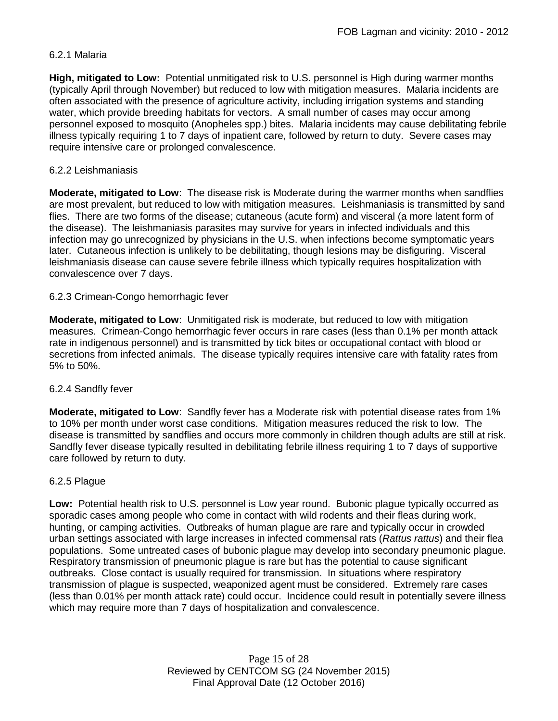### 6.2.1 Malaria

**High, mitigated to Low:** Potential unmitigated risk to U.S. personnel is High during warmer months (typically April through November) but reduced to low with mitigation measures. Malaria incidents are often associated with the presence of agriculture activity, including irrigation systems and standing water, which provide breeding habitats for vectors. A small number of cases may occur among personnel exposed to mosquito (Anopheles spp.) bites. Malaria incidents may cause debilitating febrile illness typically requiring 1 to 7 days of inpatient care, followed by return to duty. Severe cases may require intensive care or prolonged convalescence.

### 6.2.2 Leishmaniasis

**Moderate, mitigated to Low**: The disease risk is Moderate during the warmer months when sandflies are most prevalent, but reduced to low with mitigation measures. Leishmaniasis is transmitted by sand flies. There are two forms of the disease; cutaneous (acute form) and visceral (a more latent form of the disease). The leishmaniasis parasites may survive for years in infected individuals and this infection may go unrecognized by physicians in the U.S. when infections become symptomatic years later. Cutaneous infection is unlikely to be debilitating, though lesions may be disfiguring. Visceral leishmaniasis disease can cause severe febrile illness which typically requires hospitalization with convalescence over 7 days.

### 6.2.3 Crimean-Congo hemorrhagic fever

**Moderate, mitigated to Low**: Unmitigated risk is moderate, but reduced to low with mitigation measures. Crimean-Congo hemorrhagic fever occurs in rare cases (less than 0.1% per month attack rate in indigenous personnel) and is transmitted by tick bites or occupational contact with blood or secretions from infected animals. The disease typically requires intensive care with fatality rates from 5% to 50%.

### 6.2.4 Sandfly fever

**Moderate, mitigated to Low**: Sandfly fever has a Moderate risk with potential disease rates from 1% to 10% per month under worst case conditions. Mitigation measures reduced the risk to low. The disease is transmitted by sandflies and occurs more commonly in children though adults are still at risk. Sandfly fever disease typically resulted in debilitating febrile illness requiring 1 to 7 days of supportive care followed by return to duty.

### 6.2.5 Plague

**Low:** Potential health risk to U.S. personnel is Low year round. Bubonic plague typically occurred as sporadic cases among people who come in contact with wild rodents and their fleas during work, hunting, or camping activities. Outbreaks of human plague are rare and typically occur in crowded urban settings associated with large increases in infected commensal rats (*Rattus rattus*) and their flea populations. Some untreated cases of bubonic plague may develop into secondary pneumonic plague. Respiratory transmission of pneumonic plague is rare but has the potential to cause significant outbreaks. Close contact is usually required for transmission. In situations where respiratory transmission of plague is suspected, weaponized agent must be considered. Extremely rare cases (less than 0.01% per month attack rate) could occur. Incidence could result in potentially severe illness which may require more than 7 days of hospitalization and convalescence.

> Page 15 of 28 Reviewed by CENTCOM SG (24 November 2015) Final Approval Date (12 October 2016)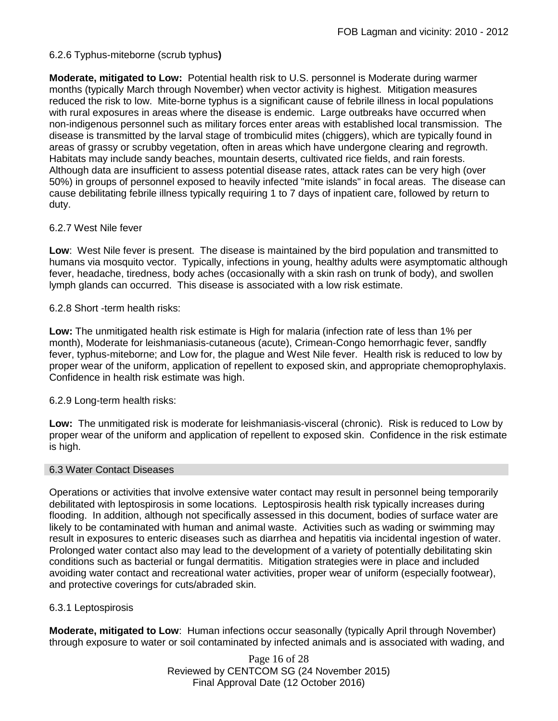### 6.2.6 Typhus-miteborne (scrub typhus**)**

**Moderate, mitigated to Low:** Potential health risk to U.S. personnel is Moderate during warmer months (typically March through November) when vector activity is highest. Mitigation measures reduced the risk to low. Mite-borne typhus is a significant cause of febrile illness in local populations with rural exposures in areas where the disease is endemic. Large outbreaks have occurred when non-indigenous personnel such as military forces enter areas with established local transmission. The disease is transmitted by the larval stage of trombiculid mites (chiggers), which are typically found in areas of grassy or scrubby vegetation, often in areas which have undergone clearing and regrowth. Habitats may include sandy beaches, mountain deserts, cultivated rice fields, and rain forests. Although data are insufficient to assess potential disease rates, attack rates can be very high (over 50%) in groups of personnel exposed to heavily infected "mite islands" in focal areas. The disease can cause debilitating febrile illness typically requiring 1 to 7 days of inpatient care, followed by return to duty.

### 6.2.7 West Nile fever

**Low**: West Nile fever is present. The disease is maintained by the bird population and transmitted to humans via mosquito vector. Typically, infections in young, healthy adults were asymptomatic although fever, headache, tiredness, body aches (occasionally with a skin rash on trunk of body), and swollen lymph glands can occurred. This disease is associated with a low risk estimate.

### 6.2.8 Short -term health risks:

**Low:** The unmitigated health risk estimate is High for malaria (infection rate of less than 1% per month), Moderate for leishmaniasis-cutaneous (acute), Crimean-Congo hemorrhagic fever, sandfly fever, typhus-miteborne; and Low for, the plague and West Nile fever. Health risk is reduced to low by proper wear of the uniform, application of repellent to exposed skin, and appropriate chemoprophylaxis. Confidence in health risk estimate was high.

### 6.2.9 Long-term health risks:

**Low:** The unmitigated risk is moderate for leishmaniasis-visceral (chronic). Risk is reduced to Low by proper wear of the uniform and application of repellent to exposed skin. Confidence in the risk estimate is high.

#### 6.3 Water Contact Diseases

Operations or activities that involve extensive water contact may result in personnel being temporarily debilitated with leptospirosis in some locations. Leptospirosis health risk typically increases during flooding. In addition, although not specifically assessed in this document, bodies of surface water are likely to be contaminated with human and animal waste. Activities such as wading or swimming may result in exposures to enteric diseases such as diarrhea and hepatitis via incidental ingestion of water. Prolonged water contact also may lead to the development of a variety of potentially debilitating skin conditions such as bacterial or fungal dermatitis. Mitigation strategies were in place and included avoiding water contact and recreational water activities, proper wear of uniform (especially footwear), and protective coverings for cuts/abraded skin.

### 6.3.1 Leptospirosis

**Moderate, mitigated to Low**: Human infections occur seasonally (typically April through November) through exposure to water or soil contaminated by infected animals and is associated with wading, and

> Page 16 of 28 Reviewed by CENTCOM SG (24 November 2015) Final Approval Date (12 October 2016)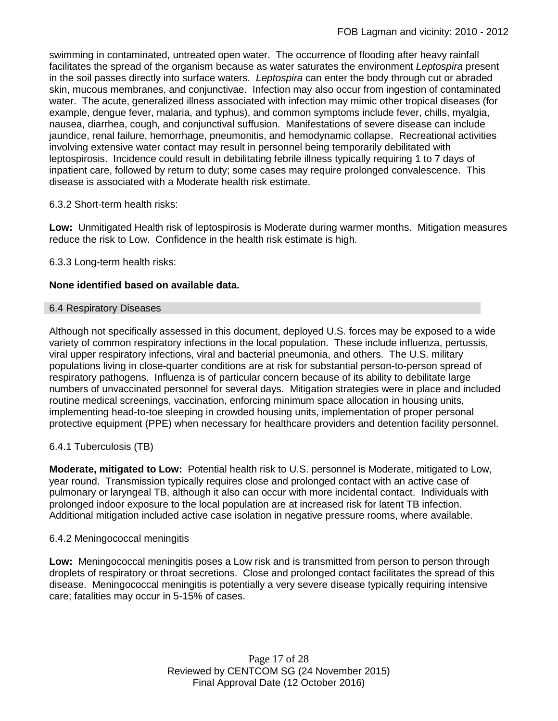swimming in contaminated, untreated open water. The occurrence of flooding after heavy rainfall facilitates the spread of the organism because as water saturates the environment *Leptospira* present in the soil passes directly into surface waters. *Leptospira* can enter the body through cut or abraded skin, mucous membranes, and conjunctivae. Infection may also occur from ingestion of contaminated water. The acute, generalized illness associated with infection may mimic other tropical diseases (for example, dengue fever, malaria, and typhus), and common symptoms include fever, chills, myalgia, nausea, diarrhea, cough, and conjunctival suffusion. Manifestations of severe disease can include jaundice, renal failure, hemorrhage, pneumonitis, and hemodynamic collapse. Recreational activities involving extensive water contact may result in personnel being temporarily debilitated with leptospirosis. Incidence could result in debilitating febrile illness typically requiring 1 to 7 days of inpatient care, followed by return to duty; some cases may require prolonged convalescence. This disease is associated with a Moderate health risk estimate.

### 6.3.2 Short-term health risks:

**Low:** Unmitigated Health risk of leptospirosis is Moderate during warmer months. Mitigation measures reduce the risk to Low. Confidence in the health risk estimate is high.

6.3.3 Long-term health risks:

### **None identified based on available data.**

#### 6.4 Respiratory Diseases

Although not specifically assessed in this document, deployed U.S. forces may be exposed to a wide variety of common respiratory infections in the local population. These include influenza, pertussis, viral upper respiratory infections, viral and bacterial pneumonia, and others. The U.S. military populations living in close-quarter conditions are at risk for substantial person-to-person spread of respiratory pathogens. Influenza is of particular concern because of its ability to debilitate large numbers of unvaccinated personnel for several days. Mitigation strategies were in place and included routine medical screenings, vaccination, enforcing minimum space allocation in housing units, implementing head-to-toe sleeping in crowded housing units, implementation of proper personal protective equipment (PPE) when necessary for healthcare providers and detention facility personnel.

### 6.4.1 Tuberculosis (TB)

**Moderate, mitigated to Low:** Potential health risk to U.S. personnel is Moderate, mitigated to Low, year round. Transmission typically requires close and prolonged contact with an active case of pulmonary or laryngeal TB, although it also can occur with more incidental contact. Individuals with prolonged indoor exposure to the local population are at increased risk for latent TB infection. Additional mitigation included active case isolation in negative pressure rooms, where available.

#### 6.4.2 Meningococcal meningitis

**Low:** Meningococcal meningitis poses a Low risk and is transmitted from person to person through droplets of respiratory or throat secretions. Close and prolonged contact facilitates the spread of this disease. Meningococcal meningitis is potentially a very severe disease typically requiring intensive care; fatalities may occur in 5-15% of cases.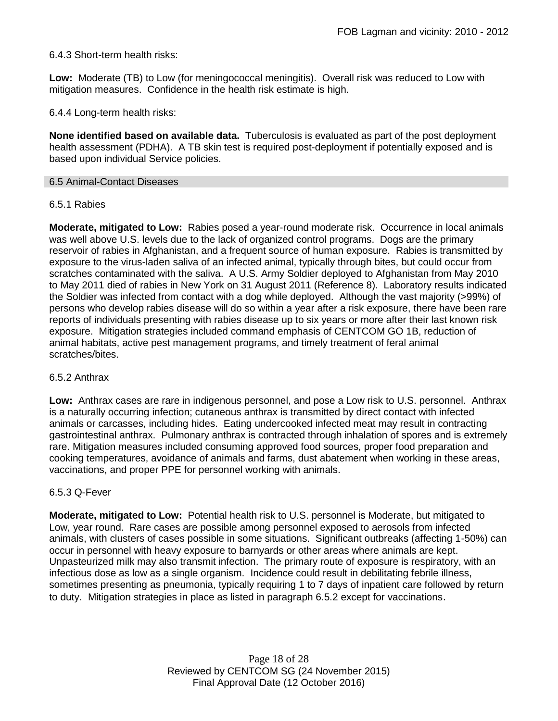### 6.4.3 Short-term health risks:

**Low:** Moderate (TB) to Low (for meningococcal meningitis). Overall risk was reduced to Low with mitigation measures. Confidence in the health risk estimate is high.

6.4.4 Long-term health risks:

**None identified based on available data.** Tuberculosis is evaluated as part of the post deployment health assessment (PDHA). A TB skin test is required post-deployment if potentially exposed and is based upon individual Service policies.

#### 6.5 Animal-Contact Diseases

#### 6.5.1 Rabies

**Moderate, mitigated to Low:** Rabies posed a year-round moderate risk. Occurrence in local animals was well above U.S. levels due to the lack of organized control programs. Dogs are the primary reservoir of rabies in Afghanistan, and a frequent source of human exposure. Rabies is transmitted by exposure to the virus-laden saliva of an infected animal, typically through bites, but could occur from scratches contaminated with the saliva. A U.S. Army Soldier deployed to Afghanistan from May 2010 to May 2011 died of rabies in New York on 31 August 2011 (Reference 8). Laboratory results indicated the Soldier was infected from contact with a dog while deployed. Although the vast majority (>99%) of persons who develop rabies disease will do so within a year after a risk exposure, there have been rare reports of individuals presenting with rabies disease up to six years or more after their last known risk exposure. Mitigation strategies included command emphasis of CENTCOM GO 1B, reduction of animal habitats, active pest management programs, and timely treatment of feral animal scratches/bites.

#### 6.5.2 Anthrax

**Low:** Anthrax cases are rare in indigenous personnel, and pose a Low risk to U.S. personnel. Anthrax is a naturally occurring infection; cutaneous anthrax is transmitted by direct contact with infected animals or carcasses, including hides. Eating undercooked infected meat may result in contracting gastrointestinal anthrax. Pulmonary anthrax is contracted through inhalation of spores and is extremely rare. Mitigation measures included consuming approved food sources, proper food preparation and cooking temperatures, avoidance of animals and farms, dust abatement when working in these areas, vaccinations, and proper PPE for personnel working with animals.

#### 6.5.3 Q-Fever

**Moderate, mitigated to Low:** Potential health risk to U.S. personnel is Moderate, but mitigated to Low, year round. Rare cases are possible among personnel exposed to aerosols from infected animals, with clusters of cases possible in some situations. Significant outbreaks (affecting 1-50%) can occur in personnel with heavy exposure to barnyards or other areas where animals are kept. Unpasteurized milk may also transmit infection. The primary route of exposure is respiratory, with an infectious dose as low as a single organism. Incidence could result in debilitating febrile illness, sometimes presenting as pneumonia, typically requiring 1 to 7 days of inpatient care followed by return to duty. Mitigation strategies in place as listed in paragraph 6.5.2 except for vaccinations.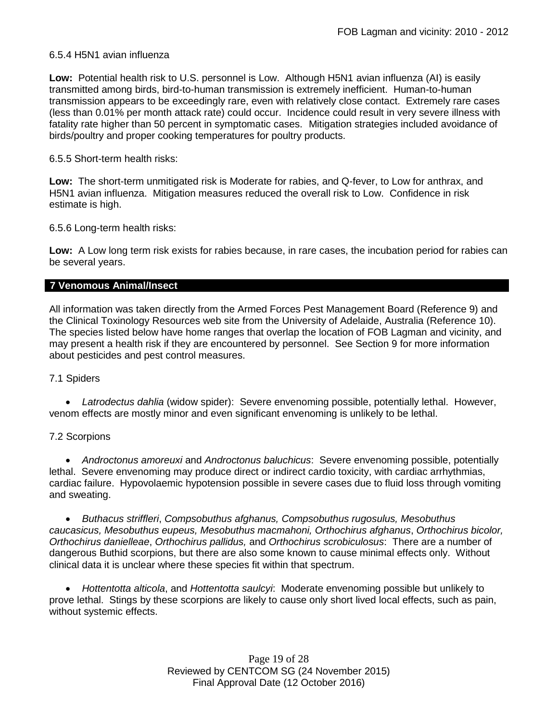### 6.5.4 H5N1 avian influenza

**Low:** Potential health risk to U.S. personnel is Low. Although H5N1 avian influenza (AI) is easily transmitted among birds, bird-to-human transmission is extremely inefficient. Human-to-human transmission appears to be exceedingly rare, even with relatively close contact. Extremely rare cases (less than 0.01% per month attack rate) could occur. Incidence could result in very severe illness with fatality rate higher than 50 percent in symptomatic cases. Mitigation strategies included avoidance of birds/poultry and proper cooking temperatures for poultry products.

### 6.5.5 Short-term health risks:

**Low:** The short-term unmitigated risk is Moderate for rabies, and Q-fever, to Low for anthrax, and H5N1 avian influenza. Mitigation measures reduced the overall risk to Low.Confidence in risk estimate is high.

6.5.6 Long-term health risks:

**Low:** A Low long term risk exists for rabies because, in rare cases, the incubation period for rabies can be several years.

#### **7 Venomous Animal/Insect**

All information was taken directly from the Armed Forces Pest Management Board (Reference 9) and the Clinical Toxinology Resources web site from the University of Adelaide, Australia (Reference 10). The species listed below have home ranges that overlap the location of FOB Lagman and vicinity, and may present a health risk if they are encountered by personnel. See Section 9 for more information about pesticides and pest control measures.

### 7.1 Spiders

 *Latrodectus dahlia* (widow spider): Severe envenoming possible, potentially lethal. However, venom effects are mostly minor and even significant envenoming is unlikely to be lethal.

### 7.2 Scorpions

 *Androctonus amoreuxi* and *Androctonus baluchicus*: Severe envenoming possible, potentially lethal. Severe envenoming may produce direct or indirect cardio toxicity, with cardiac arrhythmias, cardiac failure. Hypovolaemic hypotension possible in severe cases due to fluid loss through vomiting and sweating.

 *Buthacus striffleri*, *Compsobuthus afghanus, Compsobuthus rugosulus, Mesobuthus caucasicus, Mesobuthus eupeus, Mesobuthus macmahoni, Orthochirus afghanus*, *Orthochirus bicolor, Orthochirus danielleae*, *Orthochirus pallidus,* and *Orthochirus scrobiculosus*: There are a number of dangerous Buthid scorpions, but there are also some known to cause minimal effects only. Without clinical data it is unclear where these species fit within that spectrum.

 *Hottentotta alticola*, and *Hottentotta saulcyi*: Moderate envenoming possible but unlikely to prove lethal. Stings by these scorpions are likely to cause only short lived local effects, such as pain, without systemic effects.

> Page 19 of 28 Reviewed by CENTCOM SG (24 November 2015) Final Approval Date (12 October 2016)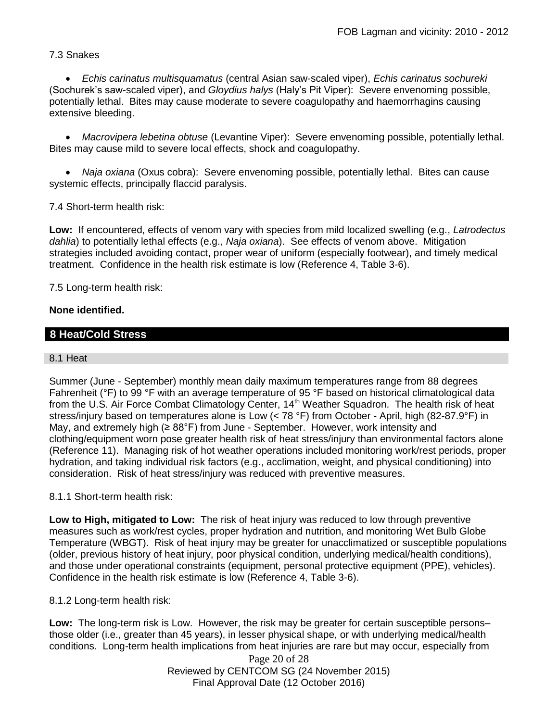## 7.3 Snakes

 *Echis carinatus multisquamatus* (central Asian saw-scaled viper), *Echis carinatus sochureki* (Sochurek's saw-scaled viper), and *Gloydius halys* (Haly's Pit Viper): Severe envenoming possible, potentially lethal. Bites may cause moderate to severe coagulopathy and haemorrhagins causing extensive bleeding.

 *Macrovipera lebetina obtuse* (Levantine Viper): Severe envenoming possible, potentially lethal. Bites may cause mild to severe local effects, shock and coagulopathy.

 *Naja oxiana* (Oxus cobra): Severe envenoming possible, potentially lethal. Bites can cause systemic effects, principally flaccid paralysis.

7.4 Short-term health risk:

**Low:** If encountered, effects of venom vary with species from mild localized swelling (e.g., *Latrodectus dahlia*) to potentially lethal effects (e.g., *Naja oxiana*). See effects of venom above. Mitigation strategies included avoiding contact, proper wear of uniform (especially footwear), and timely medical treatment. Confidence in the health risk estimate is low (Reference 4, Table 3-6).

7.5 Long-term health risk:

### **None identified.**

### **8 Heat/Cold Stress**

#### 8.1 Heat

Summer (June - September) monthly mean daily maximum temperatures range from 88 degrees Fahrenheit (°F) to 99 °F with an average temperature of 95 °F based on historical climatological data from the U.S. Air Force Combat Climatology Center, 14<sup>th</sup> Weather Squadron. The health risk of heat stress/injury based on temperatures alone is Low (< 78 °F) from October - April, high (82-87.9°F) in May, and extremely high ( $\geq 88^{\circ}$ F) from June - September. However, work intensity and clothing/equipment worn pose greater health risk of heat stress/injury than environmental factors alone (Reference 11). Managing risk of hot weather operations included monitoring work/rest periods, proper hydration, and taking individual risk factors (e.g., acclimation, weight, and physical conditioning) into consideration. Risk of heat stress/injury was reduced with preventive measures.

#### 8.1.1 Short-term health risk:

**Low to High, mitigated to Low:** The risk of heat injury was reduced to low through preventive measures such as work/rest cycles, proper hydration and nutrition, and monitoring Wet Bulb Globe Temperature (WBGT). Risk of heat injury may be greater for unacclimatized or susceptible populations (older, previous history of heat injury, poor physical condition, underlying medical/health conditions), and those under operational constraints (equipment, personal protective equipment (PPE), vehicles). Confidence in the health risk estimate is low (Reference 4, Table 3-6).

8.1.2 Long-term health risk:

**Low:** The long-term risk is Low. However, the risk may be greater for certain susceptible persons– those older (i.e., greater than 45 years), in lesser physical shape, or with underlying medical/health conditions. Long-term health implications from heat injuries are rare but may occur, especially from

Page 20 of 28 Reviewed by CENTCOM SG (24 November 2015) Final Approval Date (12 October 2016)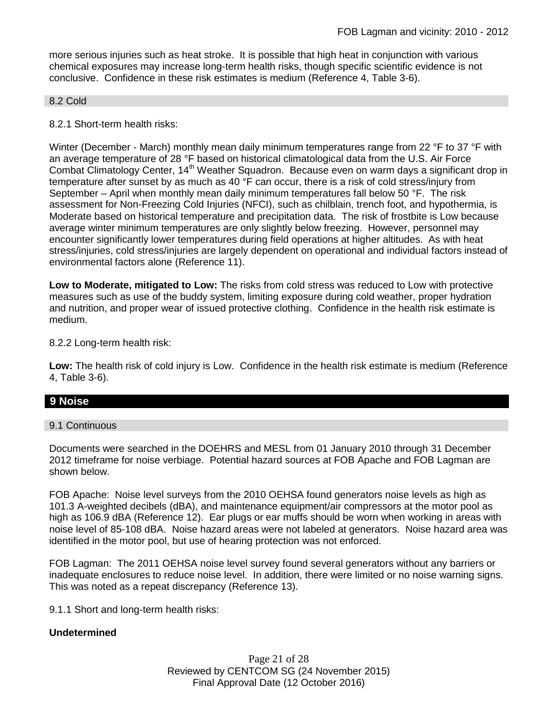more serious injuries such as heat stroke. It is possible that high heat in conjunction with various chemical exposures may increase long-term health risks, though specific scientific evidence is not conclusive. Confidence in these risk estimates is medium (Reference 4, Table 3-6).

#### 8.2 Cold

#### 8.2.1 Short-term health risks:

Winter (December - March) monthly mean daily minimum temperatures range from 22 °F to 37 °F with an average temperature of 28 °F based on historical climatological data from the U.S. Air Force Combat Climatology Center, 14<sup>th</sup> Weather Squadron. Because even on warm days a significant drop in temperature after sunset by as much as 40 °F can occur, there is a risk of cold stress/injury from September – April when monthly mean daily minimum temperatures fall below 50  $\degree$ F. The risk assessment for Non-Freezing Cold Injuries (NFCI), such as chilblain, trench foot, and hypothermia, is Moderate based on historical temperature and precipitation data. The risk of frostbite is Low because average winter minimum temperatures are only slightly below freezing. However, personnel may encounter significantly lower temperatures during field operations at higher altitudes. As with heat stress/injuries, cold stress/injuries are largely dependent on operational and individual factors instead of environmental factors alone (Reference 11).

**Low to Moderate, mitigated to Low:** The risks from cold stress was reduced to Low with protective measures such as use of the buddy system, limiting exposure during cold weather, proper hydration and nutrition, and proper wear of issued protective clothing. Confidence in the health risk estimate is medium.

8.2.2 Long-term health risk:

**Low:** The health risk of cold injury is Low. Confidence in the health risk estimate is medium (Reference 4, Table 3-6).

### **9 Noise**

#### 9.1 Continuous

Documents were searched in the DOEHRS and MESL from 01 January 2010 through 31 December 2012 timeframe for noise verbiage. Potential hazard sources at FOB Apache and FOB Lagman are shown below.

FOB Apache: Noise level surveys from the 2010 OEHSA found generators noise levels as high as 101.3 A-weighted decibels (dBA), and maintenance equipment/air compressors at the motor pool as high as 106.9 dBA (Reference 12). Ear plugs or ear muffs should be worn when working in areas with noise level of 85-108 dBA. Noise hazard areas were not labeled at generators. Noise hazard area was identified in the motor pool, but use of hearing protection was not enforced.

FOB Lagman: The 2011 OEHSA noise level survey found several generators without any barriers or inadequate enclosures to reduce noise level. In addition, there were limited or no noise warning signs. This was noted as a repeat discrepancy (Reference 13).

9.1.1 Short and long-term health risks:

#### **Undetermined**

Page 21 of 28 Reviewed by CENTCOM SG (24 November 2015) Final Approval Date (12 October 2016)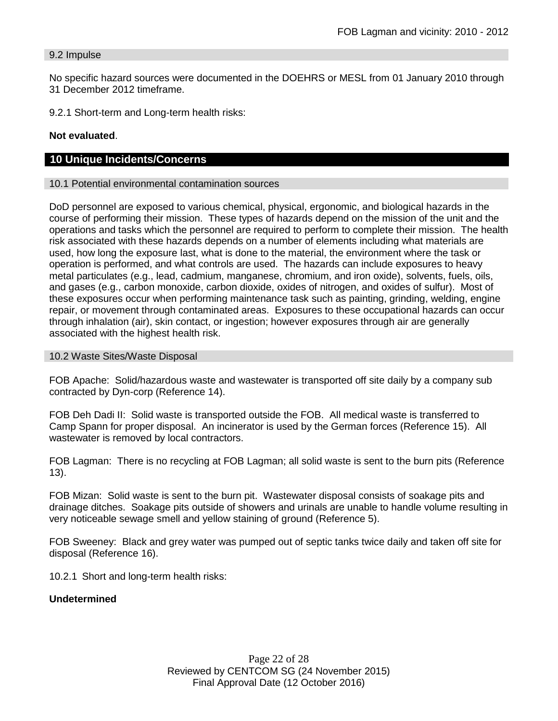#### 9.2 Impulse

No specific hazard sources were documented in the DOEHRS or MESL from 01 January 2010 through 31 December 2012 timeframe.

9.2.1 Short-term and Long-term health risks:

### **Not evaluated**.

### **10 Unique Incidents/Concerns**

#### 10.1 Potential environmental contamination sources

DoD personnel are exposed to various chemical, physical, ergonomic, and biological hazards in the course of performing their mission. These types of hazards depend on the mission of the unit and the operations and tasks which the personnel are required to perform to complete their mission. The health risk associated with these hazards depends on a number of elements including what materials are used, how long the exposure last, what is done to the material, the environment where the task or operation is performed, and what controls are used. The hazards can include exposures to heavy metal particulates (e.g., lead, cadmium, manganese, chromium, and iron oxide), solvents, fuels, oils, and gases (e.g., carbon monoxide, carbon dioxide, oxides of nitrogen, and oxides of sulfur). Most of these exposures occur when performing maintenance task such as painting, grinding, welding, engine repair, or movement through contaminated areas. Exposures to these occupational hazards can occur through inhalation (air), skin contact, or ingestion; however exposures through air are generally associated with the highest health risk.

#### 10.2 Waste Sites/Waste Disposal

FOB Apache: Solid/hazardous waste and wastewater is transported off site daily by a company sub contracted by Dyn-corp (Reference 14).

FOB Deh Dadi II: Solid waste is transported outside the FOB. All medical waste is transferred to Camp Spann for proper disposal. An incinerator is used by the German forces (Reference 15). All wastewater is removed by local contractors.

FOB Lagman: There is no recycling at FOB Lagman; all solid waste is sent to the burn pits (Reference 13).

FOB Mizan: Solid waste is sent to the burn pit. Wastewater disposal consists of soakage pits and drainage ditches. Soakage pits outside of showers and urinals are unable to handle volume resulting in very noticeable sewage smell and yellow staining of ground (Reference 5).

FOB Sweeney: Black and grey water was pumped out of septic tanks twice daily and taken off site for disposal (Reference 16).

10.2.1 Short and long-term health risks:

#### **Undetermined**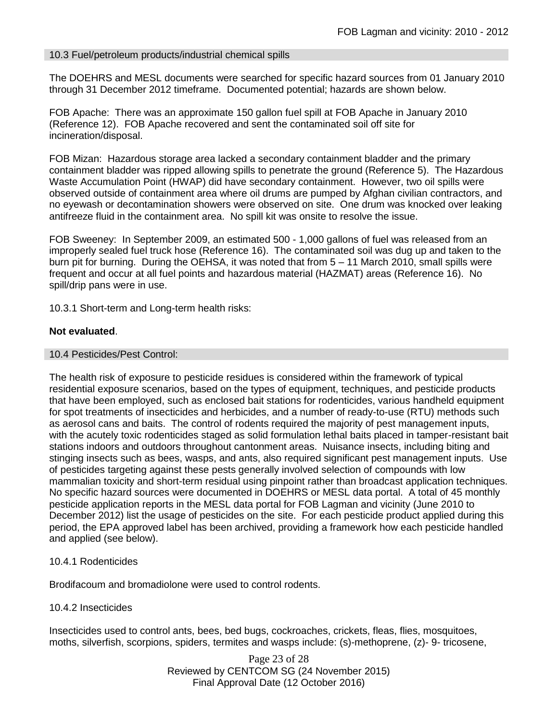### 10.3 Fuel/petroleum products/industrial chemical spills

The DOEHRS and MESL documents were searched for specific hazard sources from 01 January 2010 through 31 December 2012 timeframe. Documented potential; hazards are shown below.

FOB Apache: There was an approximate 150 gallon fuel spill at FOB Apache in January 2010 (Reference 12). FOB Apache recovered and sent the contaminated soil off site for incineration/disposal.

FOB Mizan: Hazardous storage area lacked a secondary containment bladder and the primary containment bladder was ripped allowing spills to penetrate the ground (Reference 5). The Hazardous Waste Accumulation Point (HWAP) did have secondary containment. However, two oil spills were observed outside of containment area where oil drums are pumped by Afghan civilian contractors, and no eyewash or decontamination showers were observed on site. One drum was knocked over leaking antifreeze fluid in the containment area. No spill kit was onsite to resolve the issue.

FOB Sweeney: In September 2009, an estimated 500 - 1,000 gallons of fuel was released from an improperly sealed fuel truck hose (Reference 16). The contaminated soil was dug up and taken to the burn pit for burning. During the OEHSA, it was noted that from 5 – 11 March 2010, small spills were frequent and occur at all fuel points and hazardous material (HAZMAT) areas (Reference 16). No spill/drip pans were in use.

10.3.1 Short-term and Long-term health risks:

### **Not evaluated**.

#### 10.4 Pesticides/Pest Control:

The health risk of exposure to pesticide residues is considered within the framework of typical residential exposure scenarios, based on the types of equipment, techniques, and pesticide products that have been employed, such as enclosed bait stations for rodenticides, various handheld equipment for spot treatments of insecticides and herbicides, and a number of ready-to-use (RTU) methods such as aerosol cans and baits. The control of rodents required the majority of pest management inputs, with the acutely toxic rodenticides staged as solid formulation lethal baits placed in tamper-resistant bait stations indoors and outdoors throughout cantonment areas. Nuisance insects, including biting and stinging insects such as bees, wasps, and ants, also required significant pest management inputs. Use of pesticides targeting against these pests generally involved selection of compounds with low mammalian toxicity and short-term residual using pinpoint rather than broadcast application techniques. No specific hazard sources were documented in DOEHRS or MESL data portal. A total of 45 monthly pesticide application reports in the MESL data portal for FOB Lagman and vicinity (June 2010 to December 2012) list the usage of pesticides on the site. For each pesticide product applied during this period, the EPA approved label has been archived, providing a framework how each pesticide handled and applied (see below).

#### 10.4.1 Rodenticides

Brodifacoum and bromadiolone were used to control rodents.

#### 10.4.2 Insecticides

Insecticides used to control ants, bees, bed bugs, cockroaches, crickets, fleas, flies, mosquitoes, moths, silverfish, scorpions, spiders, termites and wasps include: (s)-methoprene, (z)- 9- tricosene,

> Page 23 of 28 Reviewed by CENTCOM SG (24 November 2015) Final Approval Date (12 October 2016)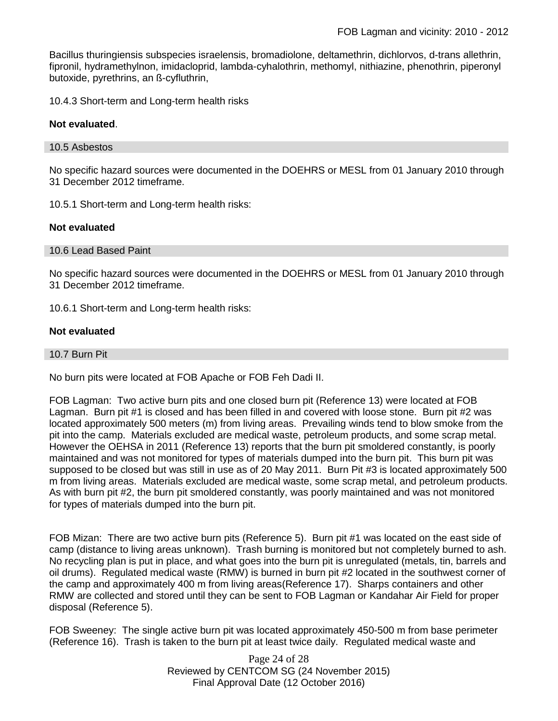Bacillus thuringiensis subspecies israelensis, bromadiolone, deltamethrin, dichlorvos, d-trans allethrin, fipronil, hydramethylnon, imidacloprid, lambda-cyhalothrin, methomyl, nithiazine, phenothrin, piperonyl butoxide, pyrethrins, an ß-cyfluthrin,

10.4.3 Short-term and Long-term health risks

#### **Not evaluated**.

#### 10.5 Asbestos

No specific hazard sources were documented in the DOEHRS or MESL from 01 January 2010 through 31 December 2012 timeframe.

10.5.1 Short-term and Long-term health risks:

### **Not evaluated**

#### 10.6 Lead Based Paint

No specific hazard sources were documented in the DOEHRS or MESL from 01 January 2010 through 31 December 2012 timeframe.

10.6.1 Short-term and Long-term health risks:

### **Not evaluated**

10.7 Burn Pit

No burn pits were located at FOB Apache or FOB Feh Dadi II.

FOB Lagman: Two active burn pits and one closed burn pit (Reference 13) were located at FOB Lagman. Burn pit #1 is closed and has been filled in and covered with loose stone. Burn pit #2 was located approximately 500 meters (m) from living areas. Prevailing winds tend to blow smoke from the pit into the camp. Materials excluded are medical waste, petroleum products, and some scrap metal. However the OEHSA in 2011 (Reference 13) reports that the burn pit smoldered constantly, is poorly maintained and was not monitored for types of materials dumped into the burn pit. This burn pit was supposed to be closed but was still in use as of 20 May 2011. Burn Pit #3 is located approximately 500 m from living areas. Materials excluded are medical waste, some scrap metal, and petroleum products. As with burn pit #2, the burn pit smoldered constantly, was poorly maintained and was not monitored for types of materials dumped into the burn pit.

FOB Mizan: There are two active burn pits (Reference 5). Burn pit #1 was located on the east side of camp (distance to living areas unknown). Trash burning is monitored but not completely burned to ash. No recycling plan is put in place, and what goes into the burn pit is unregulated (metals, tin, barrels and oil drums). Regulated medical waste (RMW) is burned in burn pit #2 located in the southwest corner of the camp and approximately 400 m from living areas(Reference 17). Sharps containers and other RMW are collected and stored until they can be sent to FOB Lagman or Kandahar Air Field for proper disposal (Reference 5).

FOB Sweeney: The single active burn pit was located approximately 450-500 m from base perimeter (Reference 16). Trash is taken to the burn pit at least twice daily. Regulated medical waste and

> Page 24 of 28 Reviewed by CENTCOM SG (24 November 2015) Final Approval Date (12 October 2016)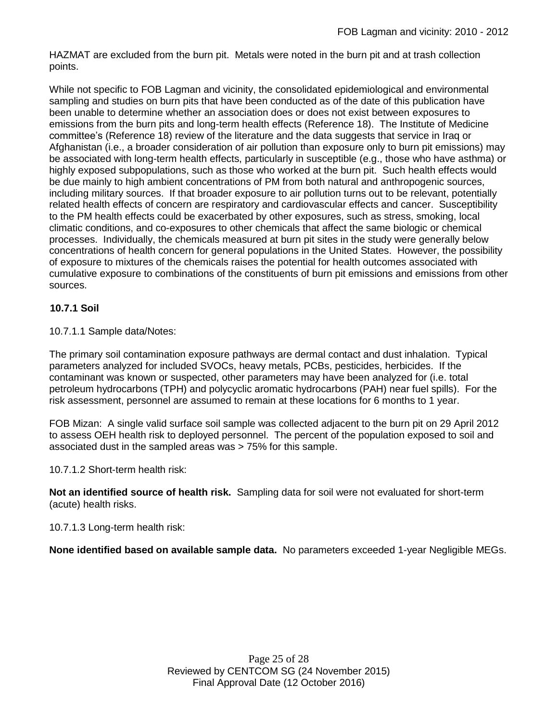HAZMAT are excluded from the burn pit. Metals were noted in the burn pit and at trash collection points.

While not specific to FOB Lagman and vicinity, the consolidated epidemiological and environmental sampling and studies on burn pits that have been conducted as of the date of this publication have been unable to determine whether an association does or does not exist between exposures to emissions from the burn pits and long-term health effects (Reference 18). The Institute of Medicine committee's (Reference 18) review of the literature and the data suggests that service in Iraq or Afghanistan (i.e., a broader consideration of air pollution than exposure only to burn pit emissions) may be associated with long-term health effects, particularly in susceptible (e.g., those who have asthma) or highly exposed subpopulations, such as those who worked at the burn pit. Such health effects would be due mainly to high ambient concentrations of PM from both natural and anthropogenic sources, including military sources. If that broader exposure to air pollution turns out to be relevant, potentially related health effects of concern are respiratory and cardiovascular effects and cancer. Susceptibility to the PM health effects could be exacerbated by other exposures, such as stress, smoking, local climatic conditions, and co-exposures to other chemicals that affect the same biologic or chemical processes. Individually, the chemicals measured at burn pit sites in the study were generally below concentrations of health concern for general populations in the United States. However, the possibility of exposure to mixtures of the chemicals raises the potential for health outcomes associated with cumulative exposure to combinations of the constituents of burn pit emissions and emissions from other sources.

## **10.7.1 Soil**

10.7.1.1 Sample data/Notes:

The primary soil contamination exposure pathways are dermal contact and dust inhalation. Typical parameters analyzed for included SVOCs, heavy metals, PCBs, pesticides, herbicides. If the contaminant was known or suspected, other parameters may have been analyzed for (i.e. total petroleum hydrocarbons (TPH) and polycyclic aromatic hydrocarbons (PAH) near fuel spills). For the risk assessment, personnel are assumed to remain at these locations for 6 months to 1 year.

FOB Mizan: A single valid surface soil sample was collected adjacent to the burn pit on 29 April 2012 to assess OEH health risk to deployed personnel. The percent of the population exposed to soil and associated dust in the sampled areas was > 75% for this sample.

### 10.7.1.2 Short-term health risk:

**Not an identified source of health risk.** Sampling data for soil were not evaluated for short-term (acute) health risks.

10.7.1.3 Long-term health risk:

**None identified based on available sample data.** No parameters exceeded 1-year Negligible MEGs.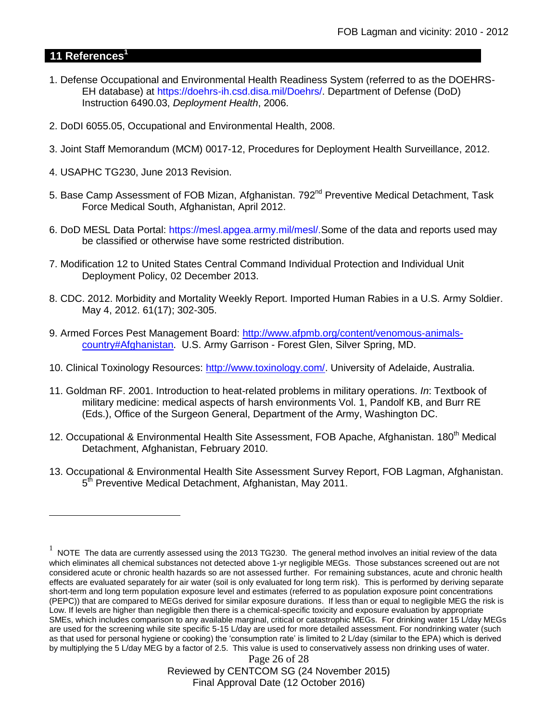## **11 References<sup>1</sup>**

 $\overline{a}$ 

- 1. Defense Occupational and Environmental Health Readiness System (referred to as the DOEHRS-EH database) at https://doehrs-ih.csd.disa.mil/Doehrs/. Department of Defense (DoD) Instruction 6490.03, *Deployment Health*, 2006.
- 2. DoDI 6055.05, Occupational and Environmental Health, 2008.
- 3. Joint Staff Memorandum (MCM) 0017-12, Procedures for Deployment Health Surveillance, 2012.
- 4. USAPHC TG230, June 2013 Revision.
- 5. Base Camp Assessment of FOB Mizan, Afghanistan. 792<sup>nd</sup> Preventive Medical Detachment. Task Force Medical South, Afghanistan, April 2012.
- 6. DoD MESL Data Portal: https://mesl.apgea.army.mil/mesl/.Some of the data and reports used may be classified or otherwise have some restricted distribution.
- 7. Modification 12 to United States Central Command Individual Protection and Individual Unit Deployment Policy, 02 December 2013.
- 8. CDC. 2012. Morbidity and Mortality Weekly Report. Imported Human Rabies in a U.S. Army Soldier. May 4, 2012. 61(17); 302-305.
- 9. Armed Forces Pest Management Board: [http://www.afpmb.org/content/venomous-animals](http://www.afpmb.org/content/venomous-animals-country#Afghanistan)[country#Afghanistan.](http://www.afpmb.org/content/venomous-animals-country#Afghanistan) U.S. Army Garrison - Forest Glen, Silver Spring, MD.
- 10. Clinical Toxinology Resources: [http://www.toxinology.com/.](http://www.toxinology.com/) University of Adelaide, Australia.
- 11. Goldman RF. 2001. Introduction to heat-related problems in military operations. *In*: Textbook of military medicine: medical aspects of harsh environments Vol. 1, Pandolf KB, and Burr RE (Eds.), Office of the Surgeon General, Department of the Army, Washington DC.
- 12. Occupational & Environmental Health Site Assessment, FOB Apache, Afghanistan, 180<sup>th</sup> Medical Detachment, Afghanistan, February 2010.
- 13. Occupational & Environmental Health Site Assessment Survey Report, FOB Lagman, Afghanistan. 5<sup>th</sup> Preventive Medical Detachment, Afghanistan, May 2011.

 $1$  NOTE The data are currently assessed using the 2013 TG230. The general method involves an initial review of the data which eliminates all chemical substances not detected above 1-yr negligible MEGs. Those substances screened out are not considered acute or chronic health hazards so are not assessed further. For remaining substances, acute and chronic health effects are evaluated separately for air water (soil is only evaluated for long term risk). This is performed by deriving separate short-term and long term population exposure level and estimates (referred to as population exposure point concentrations (PEPC)) that are compared to MEGs derived for similar exposure durations. If less than or equal to negligible MEG the risk is Low. If levels are higher than negligible then there is a chemical-specific toxicity and exposure evaluation by appropriate SMEs, which includes comparison to any available marginal, critical or catastrophic MEGs. For drinking water 15 L/day MEGs are used for the screening while site specific 5-15 L/day are used for more detailed assessment. For nondrinking water (such as that used for personal hygiene or cooking) the 'consumption rate' is limited to 2 L/day (similar to the EPA) which is derived by multiplying the 5 L/day MEG by a factor of 2.5. This value is used to conservatively assess non drinking uses of water.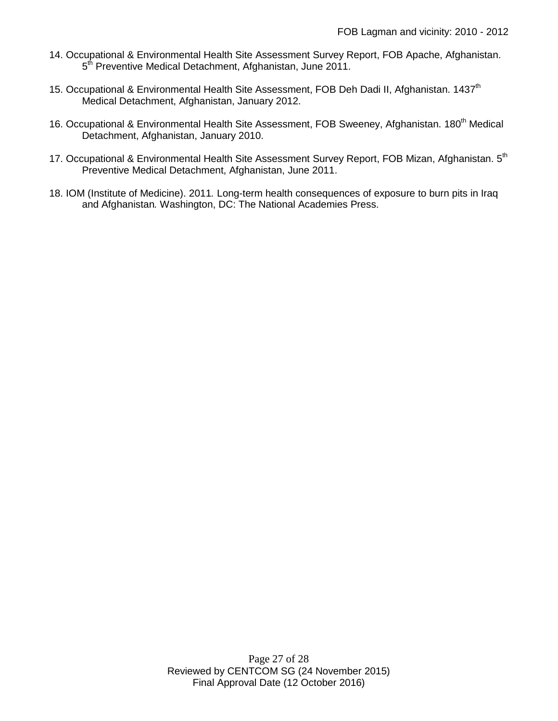- 14. Occupational & Environmental Health Site Assessment Survey Report, FOB Apache, Afghanistan. 5<sup>th</sup> Preventive Medical Detachment, Afghanistan, June 2011.
- 15. Occupational & Environmental Health Site Assessment, FOB Deh Dadi II, Afghanistan. 1437<sup>th</sup> Medical Detachment, Afghanistan, January 2012.
- 16. Occupational & Environmental Health Site Assessment, FOB Sweeney, Afghanistan. 180<sup>th</sup> Medical Detachment, Afghanistan, January 2010.
- 17. Occupational & Environmental Health Site Assessment Survey Report, FOB Mizan, Afghanistan. 5<sup>th</sup> Preventive Medical Detachment, Afghanistan, June 2011.
- 18. IOM (Institute of Medicine). 2011*.* Long-term health consequences of exposure to burn pits in Iraq and Afghanistan*.* Washington, DC: The National Academies Press.